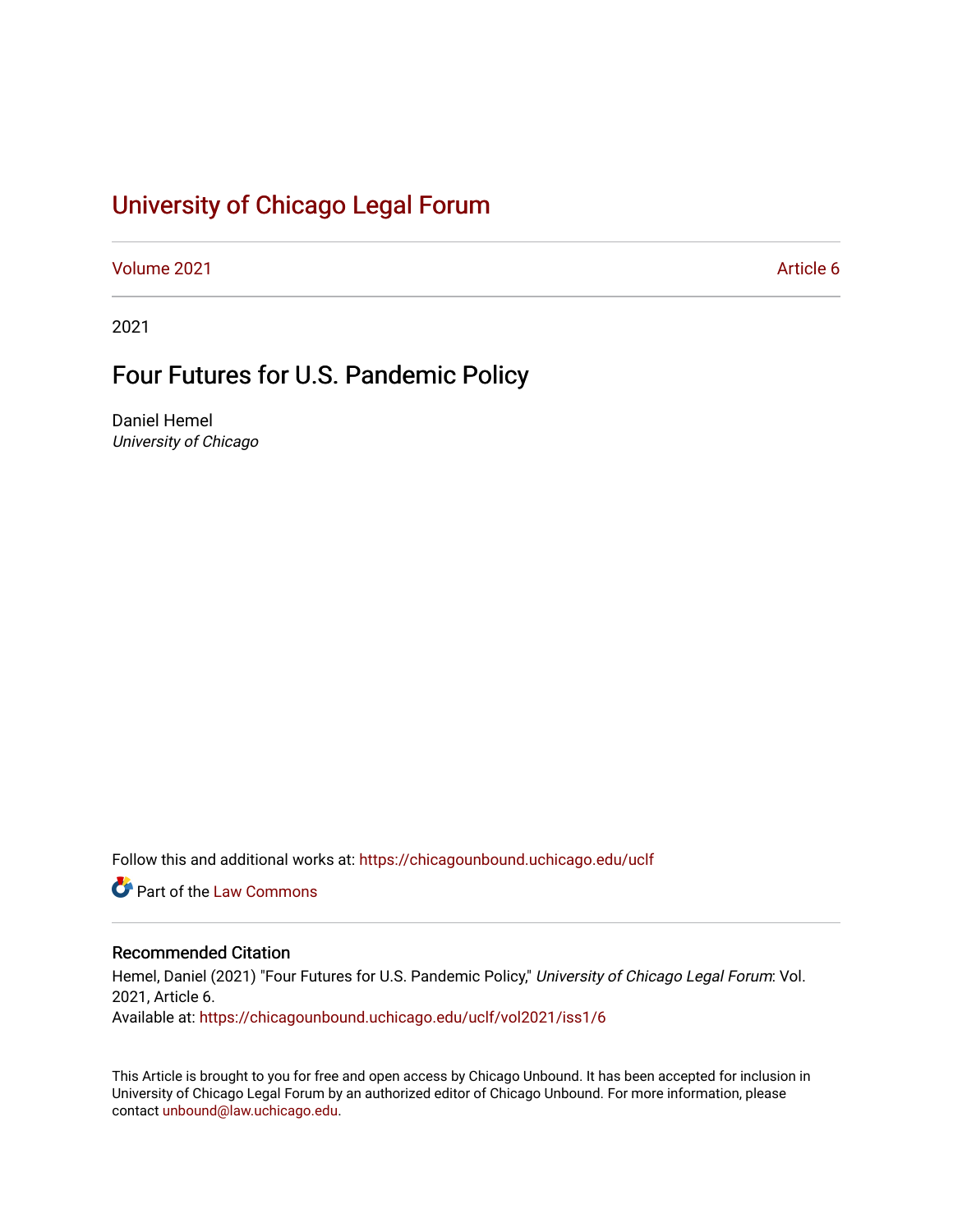# [University of Chicago Legal Forum](https://chicagounbound.uchicago.edu/uclf)

[Volume 2021](https://chicagounbound.uchicago.edu/uclf/vol2021) **Article 6** Article 6

2021

# Four Futures for U.S. Pandemic Policy

Daniel Hemel University of Chicago

Follow this and additional works at: [https://chicagounbound.uchicago.edu/uclf](https://chicagounbound.uchicago.edu/uclf?utm_source=chicagounbound.uchicago.edu%2Fuclf%2Fvol2021%2Fiss1%2F6&utm_medium=PDF&utm_campaign=PDFCoverPages) 

**C** Part of the [Law Commons](https://network.bepress.com/hgg/discipline/578?utm_source=chicagounbound.uchicago.edu%2Fuclf%2Fvol2021%2Fiss1%2F6&utm_medium=PDF&utm_campaign=PDFCoverPages)

### Recommended Citation

Hemel, Daniel (2021) "Four Futures for U.S. Pandemic Policy," University of Chicago Legal Forum: Vol. 2021, Article 6. Available at: [https://chicagounbound.uchicago.edu/uclf/vol2021/iss1/6](https://chicagounbound.uchicago.edu/uclf/vol2021/iss1/6?utm_source=chicagounbound.uchicago.edu%2Fuclf%2Fvol2021%2Fiss1%2F6&utm_medium=PDF&utm_campaign=PDFCoverPages) 

This Article is brought to you for free and open access by Chicago Unbound. It has been accepted for inclusion in University of Chicago Legal Forum by an authorized editor of Chicago Unbound. For more information, please contact [unbound@law.uchicago.edu](mailto:unbound@law.uchicago.edu).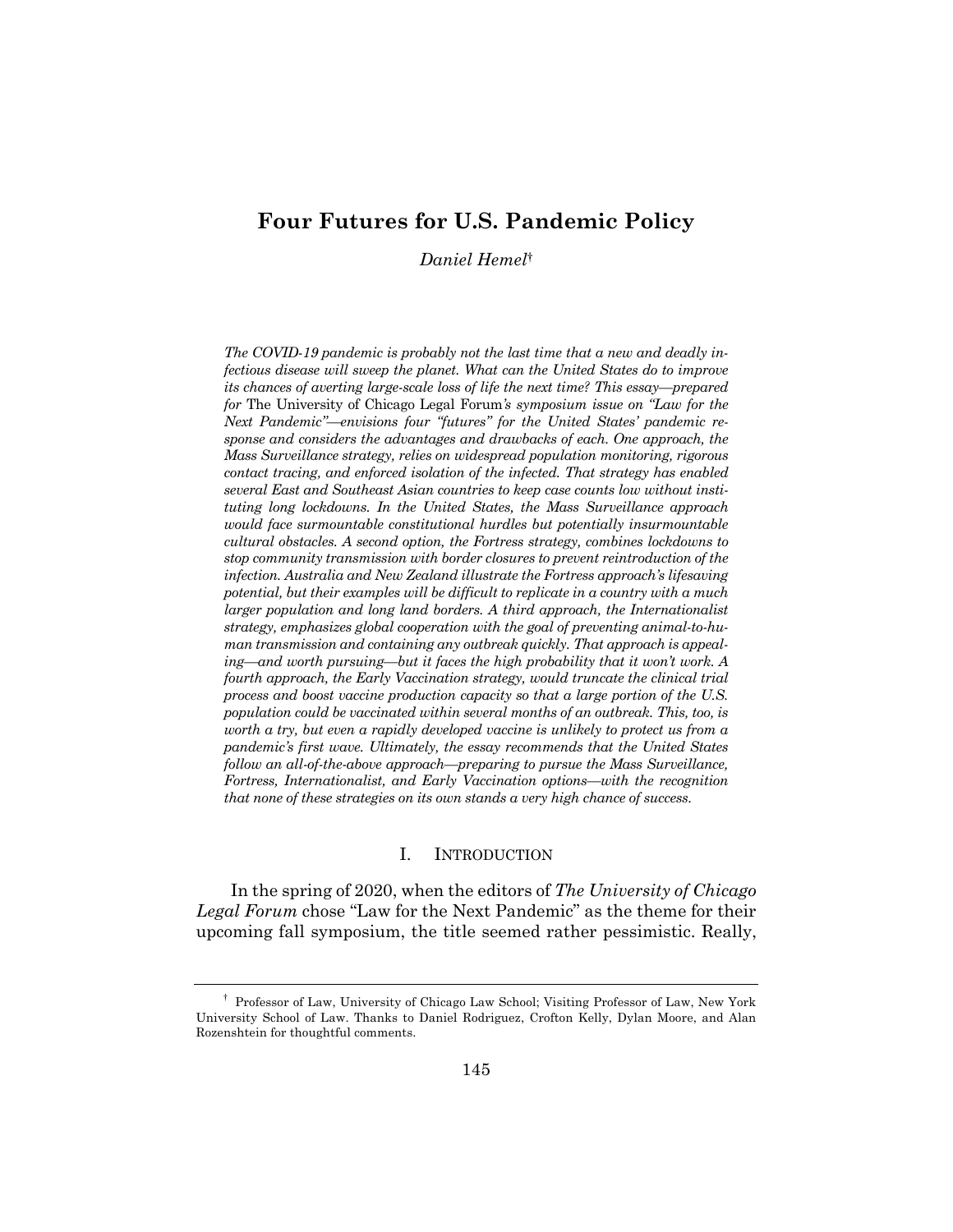## **Four Futures for U.S. Pandemic Policy**

*Daniel Hemel*†

*The COVID-19 pandemic is probably not the last time that a new and deadly infectious disease will sweep the planet. What can the United States do to improve its chances of averting large-scale loss of life the next time? This essay—prepared for* The University of Chicago Legal Forum*'s symposium issue on "Law for the Next Pandemic"—envisions four "futures" for the United States' pandemic response and considers the advantages and drawbacks of each. One approach, the Mass Surveillance strategy, relies on widespread population monitoring, rigorous contact tracing, and enforced isolation of the infected. That strategy has enabled several East and Southeast Asian countries to keep case counts low without instituting long lockdowns. In the United States, the Mass Surveillance approach would face surmountable constitutional hurdles but potentially insurmountable cultural obstacles. A second option, the Fortress strategy, combines lockdowns to stop community transmission with border closures to prevent reintroduction of the infection. Australia and New Zealand illustrate the Fortress approach's lifesaving potential, but their examples will be difficult to replicate in a country with a much larger population and long land borders. A third approach, the Internationalist strategy, emphasizes global cooperation with the goal of preventing animal-to-human transmission and containing any outbreak quickly. That approach is appealing—and worth pursuing—but it faces the high probability that it won't work. A fourth approach, the Early Vaccination strategy, would truncate the clinical trial process and boost vaccine production capacity so that a large portion of the U.S. population could be vaccinated within several months of an outbreak. This, too, is worth a try, but even a rapidly developed vaccine is unlikely to protect us from a pandemic's first wave. Ultimately, the essay recommends that the United States follow an all-of-the-above approach—preparing to pursue the Mass Surveillance, Fortress, Internationalist, and Early Vaccination options—with the recognition that none of these strategies on its own stands a very high chance of success.*

#### I. INTRODUCTION

In the spring of 2020, when the editors of *The University of Chicago Legal Forum* chose "Law for the Next Pandemic" as the theme for their upcoming fall symposium, the title seemed rather pessimistic. Really,

<sup>†</sup> Professor of Law, University of Chicago Law School; Visiting Professor of Law, New York University School of Law. Thanks to Daniel Rodriguez, Crofton Kelly, Dylan Moore, and Alan Rozenshtein for thoughtful comments.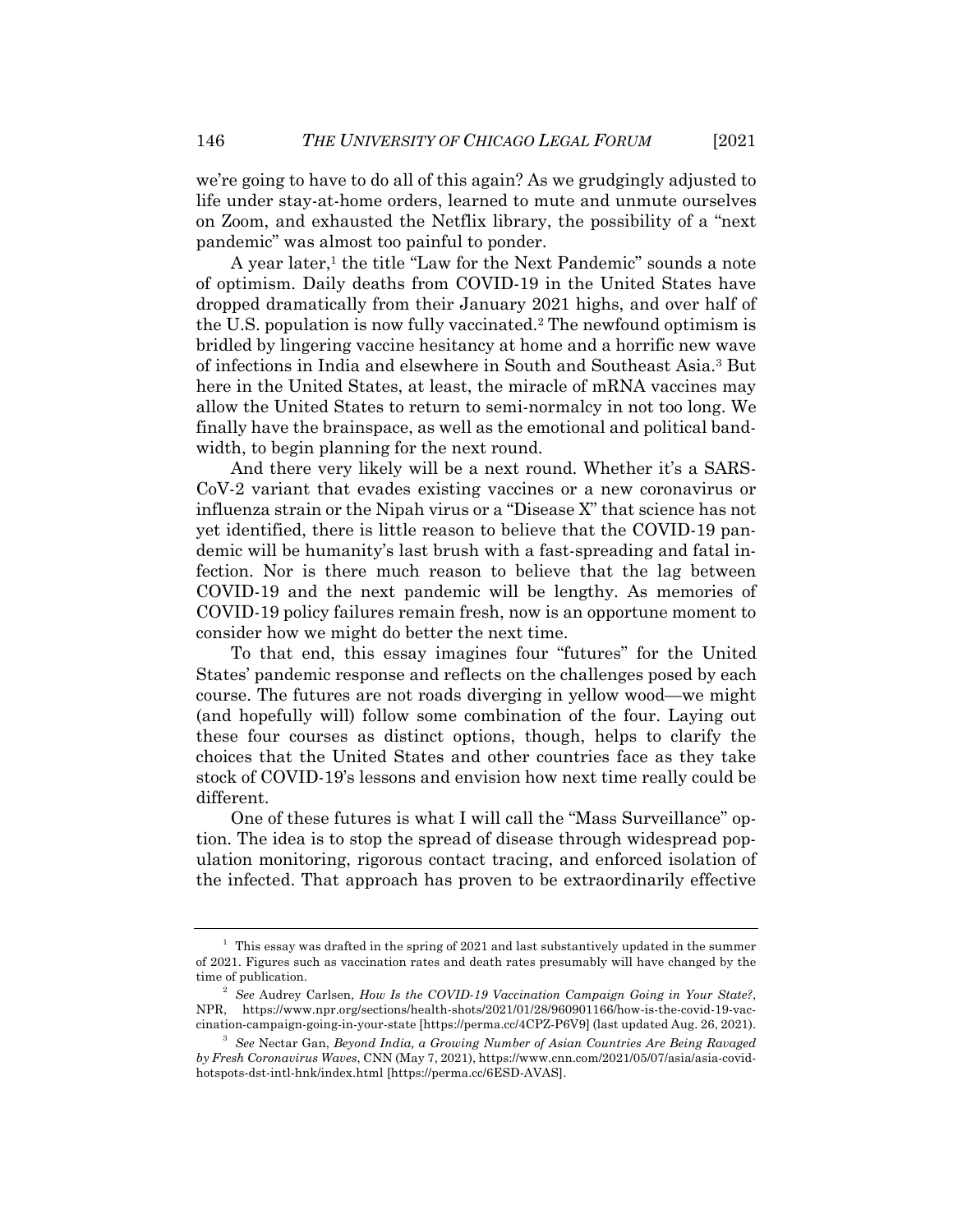we're going to have to do all of this again? As we grudgingly adjusted to life under stay-at-home orders, learned to mute and unmute ourselves on Zoom, and exhausted the Netflix library, the possibility of a "next pandemic" was almost too painful to ponder.

A year later,<sup>1</sup> the title "Law for the Next Pandemic" sounds a note of optimism. Daily deaths from COVID-19 in the United States have dropped dramatically from their January 2021 highs, and over half of the U.S. population is now fully vaccinated.2 The newfound optimism is bridled by lingering vaccine hesitancy at home and a horrific new wave of infections in India and elsewhere in South and Southeast Asia.3 But here in the United States, at least, the miracle of mRNA vaccines may allow the United States to return to semi-normalcy in not too long. We finally have the brainspace, as well as the emotional and political bandwidth, to begin planning for the next round.

And there very likely will be a next round. Whether it's a SARS-CoV-2 variant that evades existing vaccines or a new coronavirus or influenza strain or the Nipah virus or a "Disease X" that science has not yet identified, there is little reason to believe that the COVID-19 pandemic will be humanity's last brush with a fast-spreading and fatal infection. Nor is there much reason to believe that the lag between COVID-19 and the next pandemic will be lengthy. As memories of COVID-19 policy failures remain fresh, now is an opportune moment to consider how we might do better the next time.

To that end, this essay imagines four "futures" for the United States' pandemic response and reflects on the challenges posed by each course. The futures are not roads diverging in yellow wood—we might (and hopefully will) follow some combination of the four. Laying out these four courses as distinct options, though, helps to clarify the choices that the United States and other countries face as they take stock of COVID-19's lessons and envision how next time really could be different.

One of these futures is what I will call the "Mass Surveillance" option. The idea is to stop the spread of disease through widespread population monitoring, rigorous contact tracing, and enforced isolation of the infected. That approach has proven to be extraordinarily effective

<sup>&</sup>lt;sup>1</sup> This essay was drafted in the spring of 2021 and last substantively updated in the summer of 2021. Figures such as vaccination rates and death rates presumably will have changed by the time of publication.

<sup>2</sup> *See* Audrey Carlsen, *How Is the COVID-19 Vaccination Campaign Going in Your State?*, NPR, https://www.npr.org/sections/health-shots/2021/01/28/960901166/how-is-the-covid-19-vaccination-campaign-going-in-your-state [https://perma.cc/4CPZ-P6V9] (last updated Aug. 26, 2021).

<sup>3</sup> *See* Nectar Gan, *Beyond India, a Growing Number of Asian Countries Are Being Ravaged by Fresh Coronavirus Waves*, CNN (May 7, 2021), https://www.cnn.com/2021/05/07/asia/asia-covidhotspots-dst-intl-hnk/index.html [https://perma.cc/6ESD-AVAS].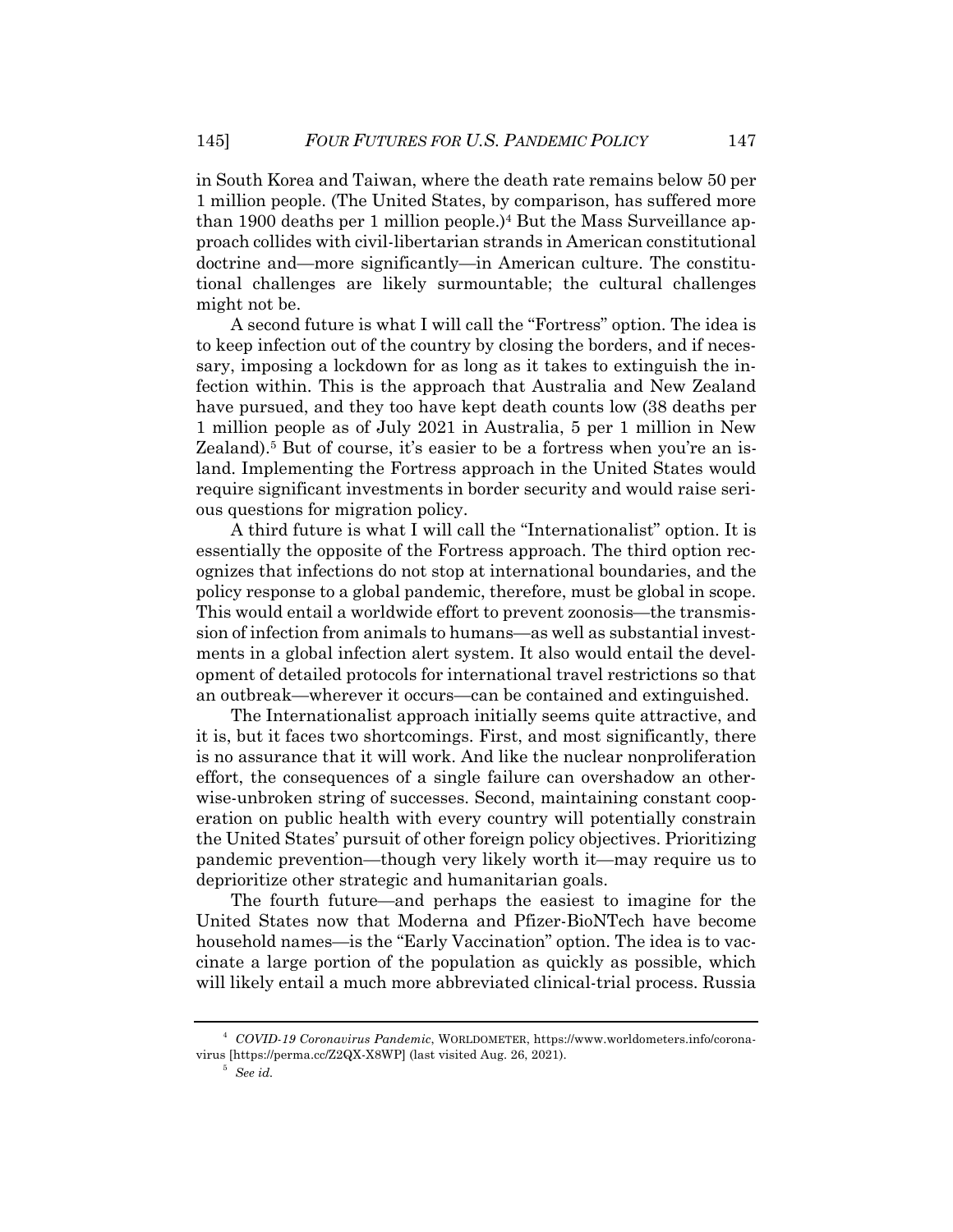in South Korea and Taiwan, where the death rate remains below 50 per 1 million people. (The United States, by comparison, has suffered more than 1900 deaths per 1 million people.)<sup>4</sup> But the Mass Surveillance approach collides with civil-libertarian strands in American constitutional doctrine and—more significantly—in American culture. The constitutional challenges are likely surmountable; the cultural challenges might not be.

A second future is what I will call the "Fortress" option. The idea is to keep infection out of the country by closing the borders, and if necessary, imposing a lockdown for as long as it takes to extinguish the infection within. This is the approach that Australia and New Zealand have pursued, and they too have kept death counts low (38 deaths per 1 million people as of July 2021 in Australia, 5 per 1 million in New Zealand).<sup>5</sup> But of course, it's easier to be a fortress when you're an island. Implementing the Fortress approach in the United States would require significant investments in border security and would raise serious questions for migration policy.

A third future is what I will call the "Internationalist" option. It is essentially the opposite of the Fortress approach. The third option recognizes that infections do not stop at international boundaries, and the policy response to a global pandemic, therefore, must be global in scope. This would entail a worldwide effort to prevent zoonosis—the transmission of infection from animals to humans—as well as substantial investments in a global infection alert system. It also would entail the development of detailed protocols for international travel restrictions so that an outbreak—wherever it occurs—can be contained and extinguished.

The Internationalist approach initially seems quite attractive, and it is, but it faces two shortcomings. First, and most significantly, there is no assurance that it will work. And like the nuclear nonproliferation effort, the consequences of a single failure can overshadow an otherwise-unbroken string of successes. Second, maintaining constant cooperation on public health with every country will potentially constrain the United States' pursuit of other foreign policy objectives. Prioritizing pandemic prevention—though very likely worth it—may require us to deprioritize other strategic and humanitarian goals.

The fourth future—and perhaps the easiest to imagine for the United States now that Moderna and Pfizer-BioNTech have become household names—is the "Early Vaccination" option. The idea is to vaccinate a large portion of the population as quickly as possible, which will likely entail a much more abbreviated clinical-trial process. Russia

<sup>4</sup> *COVID-19 Coronavirus Pandemic*, WORLDOMETER, https://www.worldometers.info/coronavirus [https://perma.cc/Z2QX-X8WP] (last visited Aug. 26, 2021).

<sup>5</sup> *See id.*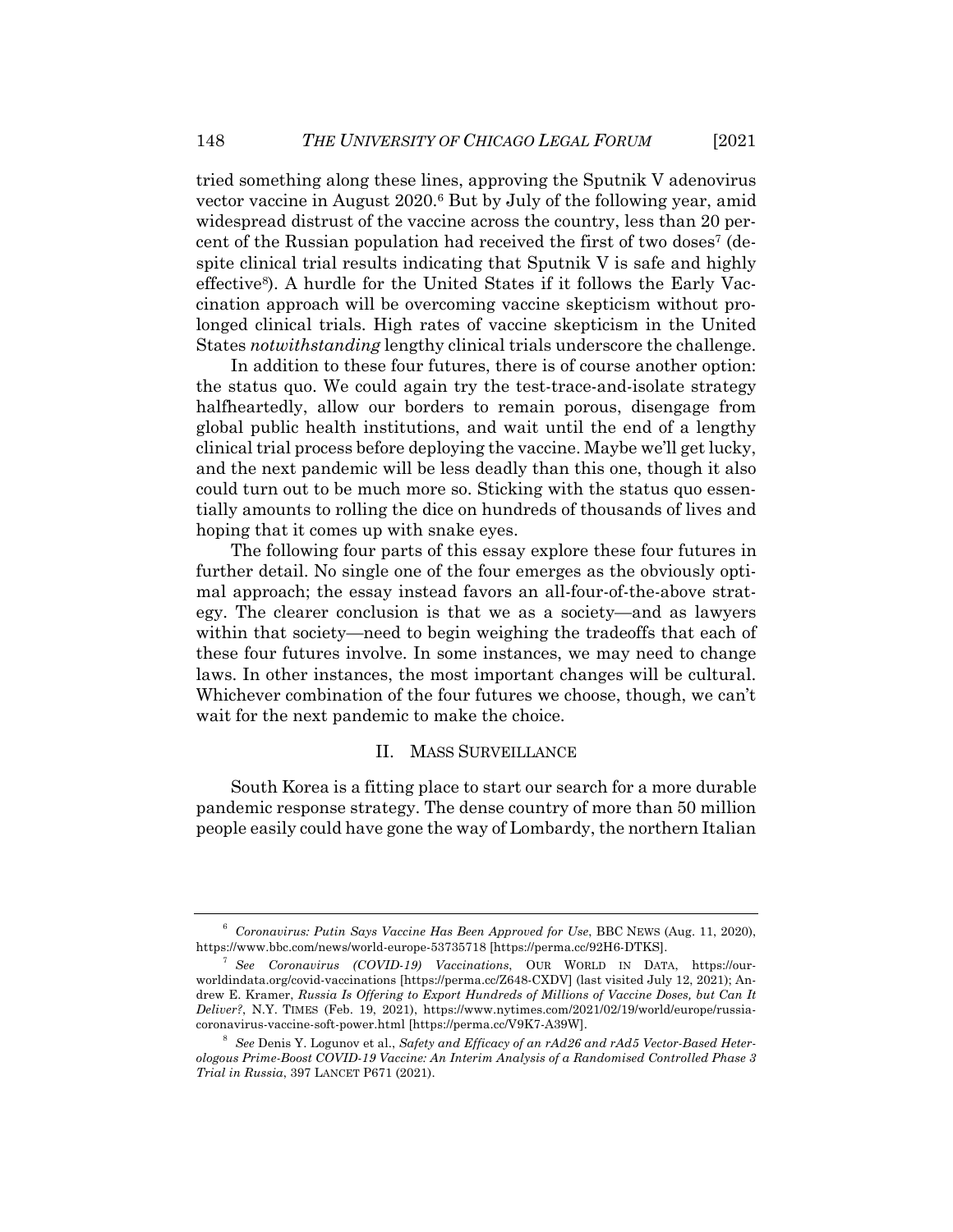tried something along these lines, approving the Sputnik V adenovirus vector vaccine in August 2020.6 But by July of the following year, amid widespread distrust of the vaccine across the country, less than 20 percent of the Russian population had received the first of two doses7 (despite clinical trial results indicating that Sputnik V is safe and highly effective8). A hurdle for the United States if it follows the Early Vaccination approach will be overcoming vaccine skepticism without prolonged clinical trials. High rates of vaccine skepticism in the United States *notwithstanding* lengthy clinical trials underscore the challenge.

In addition to these four futures, there is of course another option: the status quo. We could again try the test-trace-and-isolate strategy halfheartedly, allow our borders to remain porous, disengage from global public health institutions, and wait until the end of a lengthy clinical trial process before deploying the vaccine. Maybe we'll get lucky, and the next pandemic will be less deadly than this one, though it also could turn out to be much more so. Sticking with the status quo essentially amounts to rolling the dice on hundreds of thousands of lives and hoping that it comes up with snake eyes.

The following four parts of this essay explore these four futures in further detail. No single one of the four emerges as the obviously optimal approach; the essay instead favors an all-four-of-the-above strategy. The clearer conclusion is that we as a society—and as lawyers within that society—need to begin weighing the tradeoffs that each of these four futures involve. In some instances, we may need to change laws. In other instances, the most important changes will be cultural. Whichever combination of the four futures we choose, though, we can't wait for the next pandemic to make the choice.

#### II. MASS SURVEILLANCE

South Korea is a fitting place to start our search for a more durable pandemic response strategy. The dense country of more than 50 million people easily could have gone the way of Lombardy, the northern Italian

<sup>6</sup> *Coronavirus: Putin Says Vaccine Has Been Approved for Use*, BBC NEWS (Aug. 11, 2020), https://www.bbc.com/news/world-europe-53735718 [https://perma.cc/92H6-DTKS].

<sup>7</sup> *See Coronavirus (COVID-19) Vaccinations*, OUR WORLD IN DATA, https://ourworldindata.org/covid-vaccinations [https://perma.cc/Z648-CXDV] (last visited July 12, 2021); Andrew E. Kramer, *Russia Is Offering to Export Hundreds of Millions of Vaccine Doses, but Can It Deliver?*, N.Y. TIMES (Feb. 19, 2021), https://www.nytimes.com/2021/02/19/world/europe/russiacoronavirus-vaccine-soft-power.html [https://perma.cc/V9K7-A39W].

<sup>8</sup> *See* Denis Y. Logunov et al., *Safety and Efficacy of an rAd26 and rAd5 Vector-Based Heterologous Prime-Boost COVID-19 Vaccine: An Interim Analysis of a Randomised Controlled Phase 3 Trial in Russia*, 397 LANCET P671 (2021).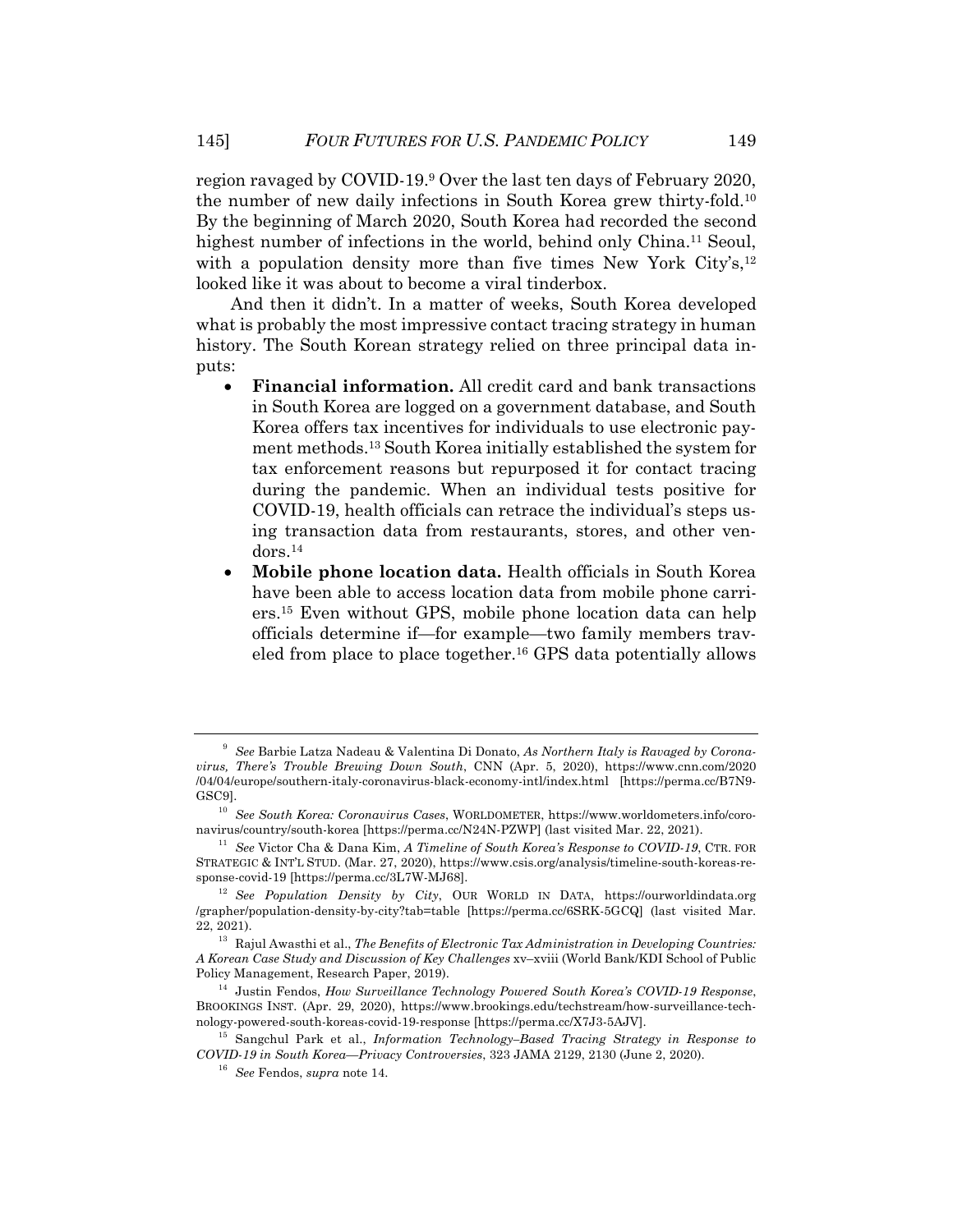region ravaged by COVID-19.9 Over the last ten days of February 2020, the number of new daily infections in South Korea grew thirty-fold.10 By the beginning of March 2020, South Korea had recorded the second highest number of infections in the world, behind only China.<sup>11</sup> Seoul, with a population density more than five times New York City's, <sup>12</sup> looked like it was about to become a viral tinderbox.

And then it didn't. In a matter of weeks, South Korea developed what is probably the most impressive contact tracing strategy in human history. The South Korean strategy relied on three principal data inputs:

- **Financial information.** All credit card and bank transactions in South Korea are logged on a government database, and South Korea offers tax incentives for individuals to use electronic payment methods.13 South Korea initially established the system for tax enforcement reasons but repurposed it for contact tracing during the pandemic. When an individual tests positive for COVID-19, health officials can retrace the individual's steps using transaction data from restaurants, stores, and other vendors.14
- **Mobile phone location data.** Health officials in South Korea have been able to access location data from mobile phone carriers.15 Even without GPS, mobile phone location data can help officials determine if—for example—two family members traveled from place to place together.16 GPS data potentially allows

<sup>9</sup> *See* Barbie Latza Nadeau & Valentina Di Donato, *As Northern Italy is Ravaged by Coronavirus, There's Trouble Brewing Down South*, CNN (Apr. 5, 2020), https://www.cnn.com/2020 /04/04/europe/southern-italy-coronavirus-black-economy-intl/index.html [https://perma.cc/B7N9- GSC9].

<sup>10</sup> *See South Korea: Coronavirus Cases*, WORLDOMETER, https://www.worldometers.info/coronavirus/country/south-korea [https://perma.cc/N24N-PZWP] (last visited Mar. 22, 2021).

<sup>11</sup> *See* Victor Cha & Dana Kim, *A Timeline of South Korea's Response to COVID-19*, CTR. FOR STRATEGIC & INT'L STUD. (Mar. 27, 2020), https://www.csis.org/analysis/timeline-south-koreas-response-covid-19 [https://perma.cc/3L7W-MJ68].

<sup>12</sup> *See Population Density by City*, OUR WORLD IN DATA, https://ourworldindata.org /grapher/population-density-by-city?tab=table [https://perma.cc/6SRK-5GCQ] (last visited Mar. 22, 2021).

<sup>13</sup> Rajul Awasthi et al., *The Benefits of Electronic Tax Administration in Developing Countries: A Korean Case Study and Discussion of Key Challenges* xv–xviii (World Bank/KDI School of Public Policy Management, Research Paper, 2019).

<sup>14</sup> Justin Fendos, *How Surveillance Technology Powered South Korea's COVID-19 Response*, BROOKINGS INST. (Apr. 29, 2020), https://www.brookings.edu/techstream/how-surveillance-technology-powered-south-koreas-covid-19-response [https://perma.cc/X7J3-5AJV].

<sup>15</sup> Sangchul Park et al., *Information Technology–Based Tracing Strategy in Response to COVID-19 in South Korea—Privacy Controversies*, 323 JAMA 2129, 2130 (June 2, 2020).

<sup>16</sup> *See* Fendos, *supra* note 14.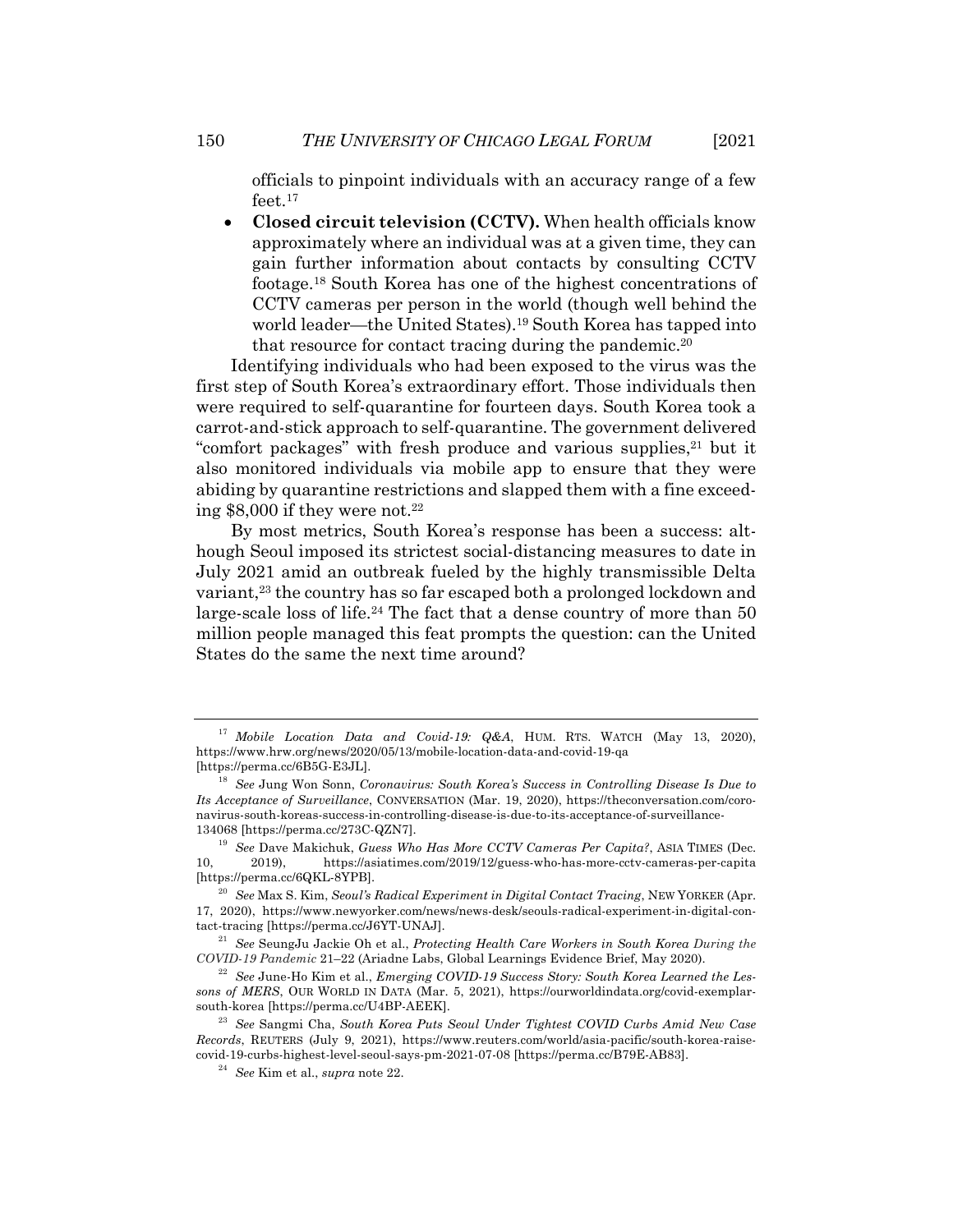officials to pinpoint individuals with an accuracy range of a few feet.<sup>17</sup>

• **Closed circuit television (CCTV).** When health officials know approximately where an individual was at a given time, they can gain further information about contacts by consulting CCTV footage.18 South Korea has one of the highest concentrations of CCTV cameras per person in the world (though well behind the world leader—the United States).19 South Korea has tapped into that resource for contact tracing during the pandemic.20

Identifying individuals who had been exposed to the virus was the first step of South Korea's extraordinary effort. Those individuals then were required to self-quarantine for fourteen days. South Korea took a carrot-and-stick approach to self-quarantine. The government delivered "comfort packages" with fresh produce and various supplies,<sup>21</sup> but it also monitored individuals via mobile app to ensure that they were abiding by quarantine restrictions and slapped them with a fine exceeding  $$8,000$  if they were not.<sup>22</sup>

By most metrics, South Korea's response has been a success: although Seoul imposed its strictest social-distancing measures to date in July 2021 amid an outbreak fueled by the highly transmissible Delta variant,<sup>23</sup> the country has so far escaped both a prolonged lockdown and large-scale loss of life.<sup>24</sup> The fact that a dense country of more than 50 million people managed this feat prompts the question: can the United States do the same the next time around?

<sup>17</sup> *Mobile Location Data and Covid-19: Q&A*, HUM. RTS. WATCH (May 13, 2020), https://www.hrw.org/news/2020/05/13/mobile-location-data-and-covid-19-qa [https://perma.cc/6B5G-E3JL].

<sup>18</sup> *See* Jung Won Sonn, *Coronavirus: South Korea's Success in Controlling Disease Is Due to Its Acceptance of Surveillance*, CONVERSATION (Mar. 19, 2020), https://theconversation.com/coronavirus-south-koreas-success-in-controlling-disease-is-due-to-its-acceptance-of-surveillance-134068 [https://perma.cc/273C-QZN7].

<sup>19</sup> *See* Dave Makichuk, *Guess Who Has More CCTV Cameras Per Capita?*, ASIA TIMES (Dec. 10, 2019), https://asiatimes.com/2019/12/guess-who-has-more-cctv-cameras-per-capita [https://perma.cc/6QKL-8YPB].

<sup>20</sup> *See* Max S. Kim, *Seoul's Radical Experiment in Digital Contact Tracing*, NEW YORKER (Apr. 17, 2020), https://www.newyorker.com/news/news-desk/seouls-radical-experiment-in-digital-contact-tracing [https://perma.cc/J6YT-UNAJ].

<sup>21</sup> *See* SeungJu Jackie Oh et al., *Protecting Health Care Workers in South Korea During the COVID-19 Pandemic* 21–22 (Ariadne Labs, Global Learnings Evidence Brief, May 2020).

<sup>&</sup>lt;sup>22</sup> See June-Ho Kim et al., *Emerging COVID-19 Success Story: South Korea Learned the Lessons of MERS*, OUR WORLD IN DATA (Mar. 5, 2021), https://ourworldindata.org/covid-exemplarsouth-korea [https://perma.cc/U4BP-AEEK].

<sup>23</sup> *See* Sangmi Cha, *South Korea Puts Seoul Under Tightest COVID Curbs Amid New Case Records*, REUTERS (July 9, 2021), https://www.reuters.com/world/asia-pacific/south-korea-raisecovid-19-curbs-highest-level-seoul-says-pm-2021-07-08 [https://perma.cc/B79E-AB83].

<sup>24</sup> *See* Kim et al., *supra* note 22.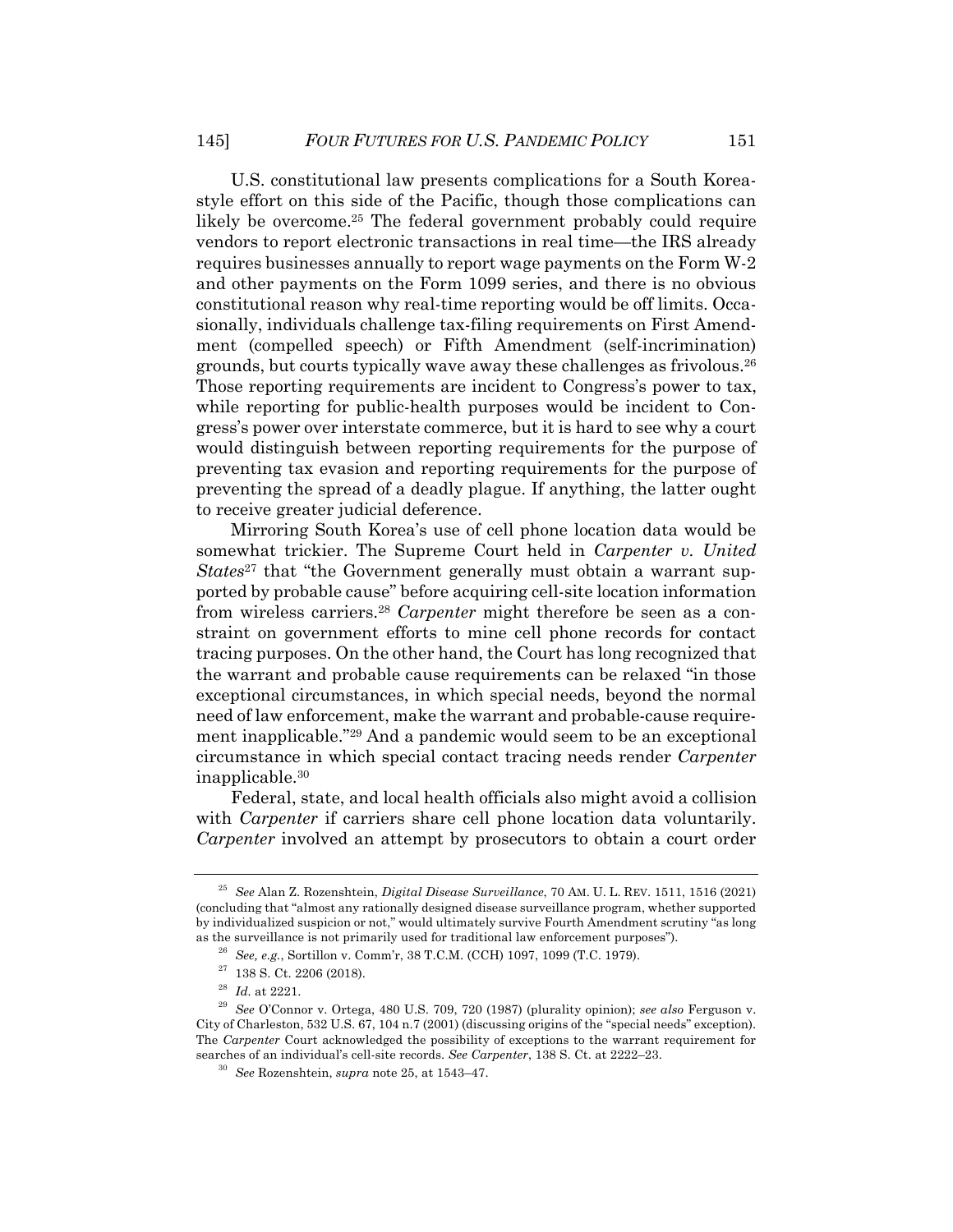U.S. constitutional law presents complications for a South Koreastyle effort on this side of the Pacific, though those complications can likely be overcome.<sup>25</sup> The federal government probably could require vendors to report electronic transactions in real time—the IRS already requires businesses annually to report wage payments on the Form W-2 and other payments on the Form 1099 series, and there is no obvious constitutional reason why real-time reporting would be off limits. Occasionally, individuals challenge tax-filing requirements on First Amendment (compelled speech) or Fifth Amendment (self-incrimination) grounds, but courts typically wave away these challenges as frivolous.26 Those reporting requirements are incident to Congress's power to tax, while reporting for public-health purposes would be incident to Congress's power over interstate commerce, but it is hard to see why a court would distinguish between reporting requirements for the purpose of preventing tax evasion and reporting requirements for the purpose of preventing the spread of a deadly plague. If anything, the latter ought to receive greater judicial deference.

Mirroring South Korea's use of cell phone location data would be somewhat trickier. The Supreme Court held in *Carpenter v. United States*<sup>27</sup> that "the Government generally must obtain a warrant supported by probable cause" before acquiring cell-site location information from wireless carriers.28 *Carpenter* might therefore be seen as a constraint on government efforts to mine cell phone records for contact tracing purposes. On the other hand, the Court has long recognized that the warrant and probable cause requirements can be relaxed "in those exceptional circumstances, in which special needs, beyond the normal need of law enforcement, make the warrant and probable-cause requirement inapplicable."29 And a pandemic would seem to be an exceptional circumstance in which special contact tracing needs render *Carpenter* inapplicable.30

Federal, state, and local health officials also might avoid a collision with *Carpenter* if carriers share cell phone location data voluntarily. *Carpenter* involved an attempt by prosecutors to obtain a court order

<sup>25</sup> *See* Alan Z. Rozenshtein, *Digital Disease Surveillance*, 70 AM. U. L. REV. 1511, 1516 (2021) (concluding that "almost any rationally designed disease surveillance program, whether supported by individualized suspicion or not," would ultimately survive Fourth Amendment scrutiny "as long as the surveillance is not primarily used for traditional law enforcement purposes").

<sup>26</sup> *See, e.g.*, Sortillon v. Comm'r, 38 T.C.M. (CCH) 1097, 1099 (T.C. 1979).

 $27$  138 S. Ct. 2206 (2018).

<sup>28</sup> *Id.* at 2221.

<sup>29</sup> *See* O'Connor v. Ortega, 480 U.S. 709, 720 (1987) (plurality opinion); *see also* Ferguson v. City of Charleston, 532 U.S. 67, 104 n.7 (2001) (discussing origins of the "special needs" exception). The *Carpenter* Court acknowledged the possibility of exceptions to the warrant requirement for searches of an individual's cell-site records. *See Carpenter*, 138 S. Ct. at 2222–23.

<sup>30</sup> *See* Rozenshtein, *supra* note 25, at 1543–47.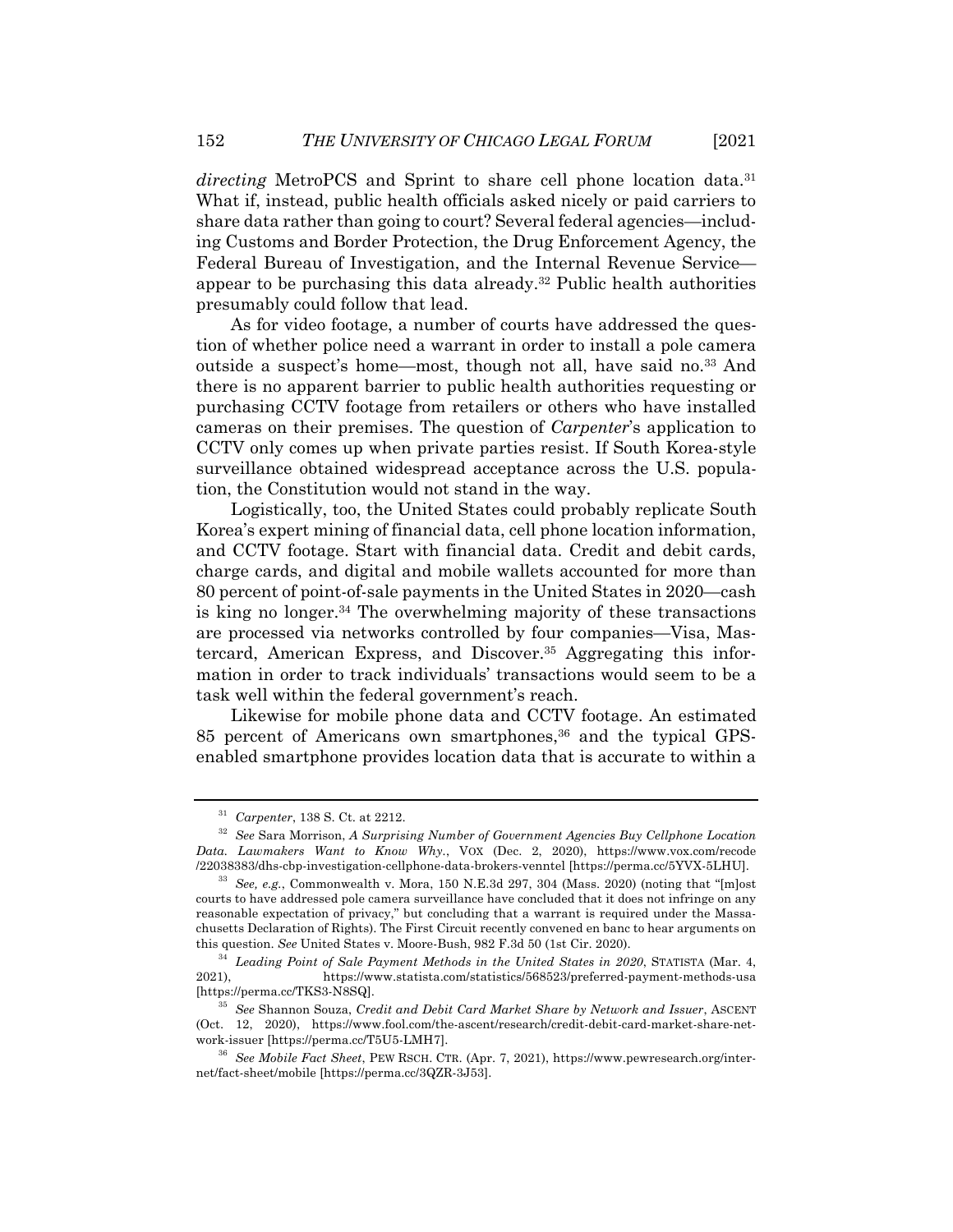*directing* MetroPCS and Sprint to share cell phone location data.<sup>31</sup> What if, instead, public health officials asked nicely or paid carriers to share data rather than going to court? Several federal agencies—including Customs and Border Protection, the Drug Enforcement Agency, the Federal Bureau of Investigation, and the Internal Revenue Service appear to be purchasing this data already.32 Public health authorities presumably could follow that lead.

As for video footage, a number of courts have addressed the question of whether police need a warrant in order to install a pole camera outside a suspect's home—most, though not all, have said no.<sup>33</sup> And there is no apparent barrier to public health authorities requesting or purchasing CCTV footage from retailers or others who have installed cameras on their premises. The question of *Carpenter*'s application to CCTV only comes up when private parties resist. If South Korea-style surveillance obtained widespread acceptance across the U.S. population, the Constitution would not stand in the way.

Logistically, too, the United States could probably replicate South Korea's expert mining of financial data, cell phone location information, and CCTV footage. Start with financial data. Credit and debit cards, charge cards, and digital and mobile wallets accounted for more than 80 percent of point-of-sale payments in the United States in 2020—cash is king no longer.34 The overwhelming majority of these transactions are processed via networks controlled by four companies—Visa, Mastercard, American Express, and Discover.35 Aggregating this information in order to track individuals' transactions would seem to be a task well within the federal government's reach.

Likewise for mobile phone data and CCTV footage. An estimated 85 percent of Americans own smartphones,<sup>36</sup> and the typical GPSenabled smartphone provides location data that is accurate to within a

<sup>31</sup> *Carpenter*, 138 S. Ct. at 2212.

<sup>32</sup> *See* Sara Morrison, *A Surprising Number of Government Agencies Buy Cellphone Location Data. Lawmakers Want to Know Why.*, VOX (Dec. 2, 2020), https://www.vox.com/recode /22038383/dhs-cbp-investigation-cellphone-data-brokers-venntel [https://perma.cc/5YVX-5LHU].

<sup>33</sup> *See, e.g.*, Commonwealth v. Mora, 150 N.E.3d 297, 304 (Mass. 2020) (noting that "[m]ost courts to have addressed pole camera surveillance have concluded that it does not infringe on any reasonable expectation of privacy," but concluding that a warrant is required under the Massachusetts Declaration of Rights). The First Circuit recently convened en banc to hear arguments on this question. *See* United States v. Moore-Bush, 982 F.3d 50 (1st Cir. 2020).

<sup>&</sup>lt;sup>34</sup> Leading Point of Sale Payment Methods in the United States in 2020, STATISTA (Mar. 4, 2021), https://www.statista.com/statistics/568523/preferred-payment-methods-usa [https://perma.cc/TKS3-N8SQ].

<sup>35</sup> *See* Shannon Souza, *Credit and Debit Card Market Share by Network and Issuer*, ASCENT (Oct. 12, 2020), https://www.fool.com/the-ascent/research/credit-debit-card-market-share-network-issuer [https://perma.cc/T5U5-LMH7].

<sup>36</sup> *See Mobile Fact Sheet*, PEW RSCH. CTR. (Apr. 7, 2021), https://www.pewresearch.org/internet/fact-sheet/mobile [https://perma.cc/3QZR-3J53].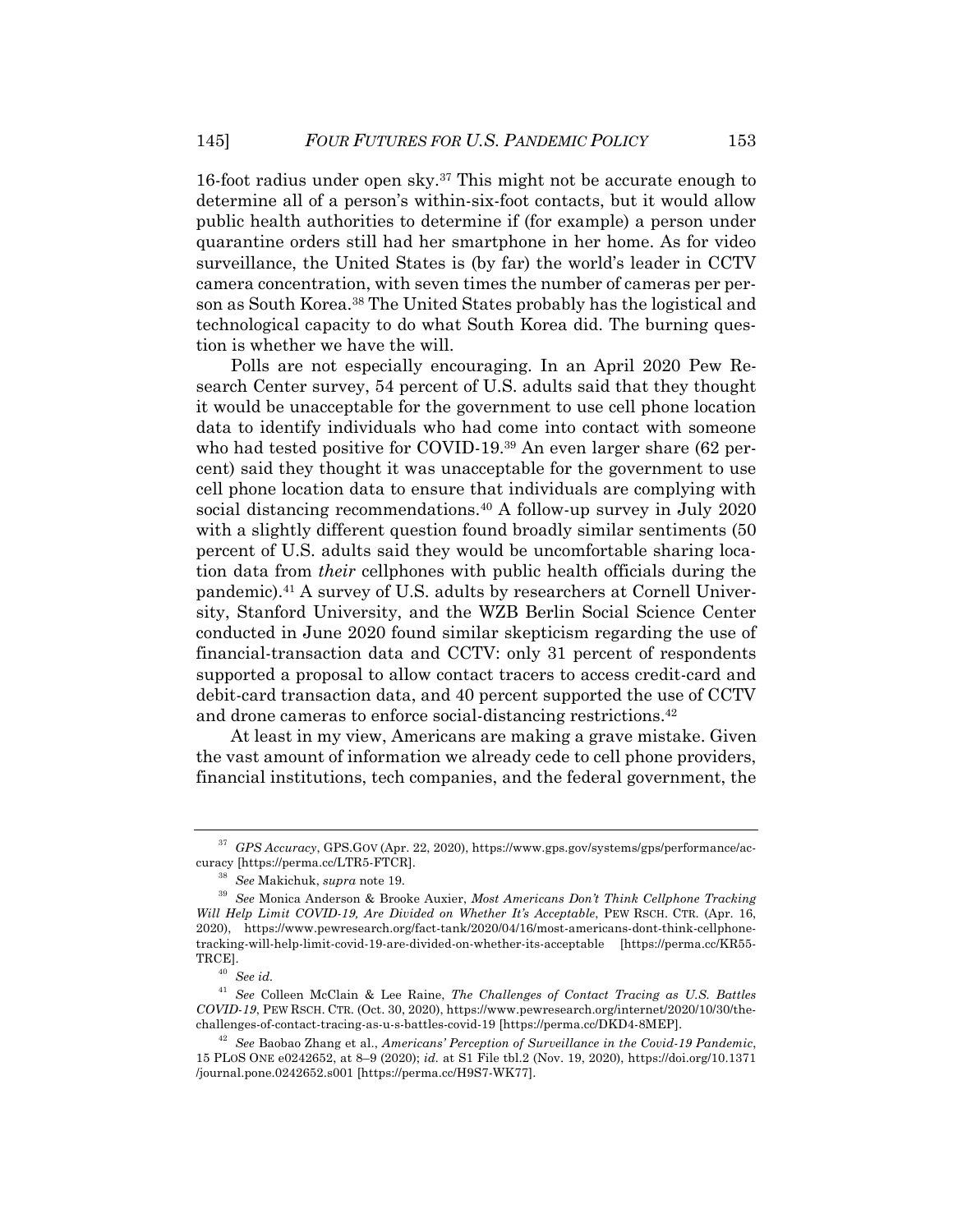16-foot radius under open sky.37 This might not be accurate enough to determine all of a person's within-six-foot contacts, but it would allow public health authorities to determine if (for example) a person under quarantine orders still had her smartphone in her home. As for video surveillance, the United States is (by far) the world's leader in CCTV camera concentration, with seven times the number of cameras per person as South Korea.38 The United States probably has the logistical and technological capacity to do what South Korea did. The burning question is whether we have the will.

Polls are not especially encouraging. In an April 2020 Pew Research Center survey, 54 percent of U.S. adults said that they thought it would be unacceptable for the government to use cell phone location data to identify individuals who had come into contact with someone who had tested positive for COVID-19.<sup>39</sup> An even larger share (62 percent) said they thought it was unacceptable for the government to use cell phone location data to ensure that individuals are complying with social distancing recommendations.<sup>40</sup> A follow-up survey in July 2020 with a slightly different question found broadly similar sentiments (50 percent of U.S. adults said they would be uncomfortable sharing location data from *their* cellphones with public health officials during the pandemic).41 A survey of U.S. adults by researchers at Cornell University, Stanford University, and the WZB Berlin Social Science Center conducted in June 2020 found similar skepticism regarding the use of financial-transaction data and CCTV: only 31 percent of respondents supported a proposal to allow contact tracers to access credit-card and debit-card transaction data, and 40 percent supported the use of CCTV and drone cameras to enforce social-distancing restrictions.42

At least in my view, Americans are making a grave mistake. Given the vast amount of information we already cede to cell phone providers, financial institutions, tech companies, and the federal government, the

<sup>37</sup> *GPS Accuracy*, GPS.GOV (Apr. 22, 2020), https://www.gps.gov/systems/gps/performance/accuracy [https://perma.cc/LTR5-FTCR].

<sup>38</sup> *See* Makichuk, *supra* note 19.

<sup>39</sup> *See* Monica Anderson & Brooke Auxier, *Most Americans Don't Think Cellphone Tracking Will Help Limit COVID-19, Are Divided on Whether It's Acceptable*, PEW RSCH. CTR. (Apr. 16, 2020), https://www.pewresearch.org/fact-tank/2020/04/16/most-americans-dont-think-cellphonetracking-will-help-limit-covid-19-are-divided-on-whether-its-acceptable [https://perma.cc/KR55- TRCE].

<sup>40</sup> *See id.*

<sup>41</sup> *See* Colleen McClain & Lee Raine, *The Challenges of Contact Tracing as U.S. Battles COVID-19*, PEW RSCH. CTR. (Oct. 30, 2020), https://www.pewresearch.org/internet/2020/10/30/thechallenges-of-contact-tracing-as-u-s-battles-covid-19 [https://perma.cc/DKD4-8MEP].

<sup>42</sup> *See* Baobao Zhang et al., *Americans' Perception of Surveillance in the Covid-19 Pandemic*, 15 PLOS ONE e0242652, at 8–9 (2020); *id.* at S1 File tbl.2 (Nov. 19, 2020), https://doi.org/10.1371 /journal.pone.0242652.s001 [https://perma.cc/H9S7-WK77].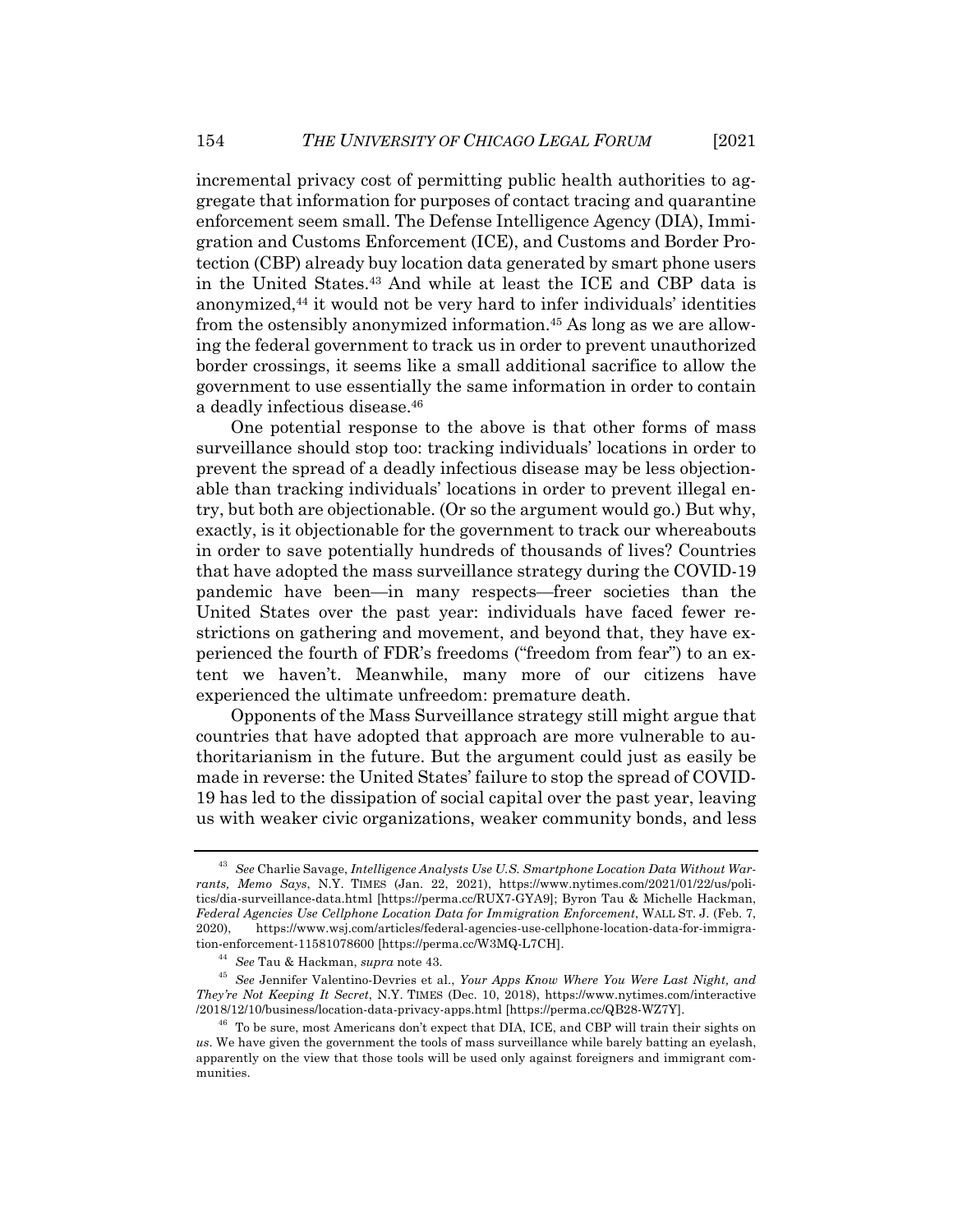incremental privacy cost of permitting public health authorities to aggregate that information for purposes of contact tracing and quarantine enforcement seem small. The Defense Intelligence Agency (DIA), Immigration and Customs Enforcement (ICE), and Customs and Border Protection (CBP) already buy location data generated by smart phone users in the United States.43 And while at least the ICE and CBP data is anonymized,44 it would not be very hard to infer individuals' identities from the ostensibly anonymized information.45 As long as we are allowing the federal government to track us in order to prevent unauthorized border crossings, it seems like a small additional sacrifice to allow the government to use essentially the same information in order to contain a deadly infectious disease.46

One potential response to the above is that other forms of mass surveillance should stop too: tracking individuals' locations in order to prevent the spread of a deadly infectious disease may be less objectionable than tracking individuals' locations in order to prevent illegal entry, but both are objectionable. (Or so the argument would go.) But why, exactly, is it objectionable for the government to track our whereabouts in order to save potentially hundreds of thousands of lives? Countries that have adopted the mass surveillance strategy during the COVID-19 pandemic have been—in many respects—freer societies than the United States over the past year: individuals have faced fewer restrictions on gathering and movement, and beyond that, they have experienced the fourth of FDR's freedoms ("freedom from fear") to an extent we haven't. Meanwhile, many more of our citizens have experienced the ultimate unfreedom: premature death.

Opponents of the Mass Surveillance strategy still might argue that countries that have adopted that approach are more vulnerable to authoritarianism in the future. But the argument could just as easily be made in reverse: the United States' failure to stop the spread of COVID-19 has led to the dissipation of social capital over the past year, leaving us with weaker civic organizations, weaker community bonds, and less

<sup>43</sup> *See* Charlie Savage, *Intelligence Analysts Use U.S. Smartphone Location Data Without Warrants, Memo Says*, N.Y. TIMES (Jan. 22, 2021), https://www.nytimes.com/2021/01/22/us/politics/dia-surveillance-data.html [https://perma.cc/RUX7-GYA9]; Byron Tau & Michelle Hackman, *Federal Agencies Use Cellphone Location Data for Immigration Enforcement*, WALL ST. J. (Feb. 7, 2020), https://www.wsj.com/articles/federal-agencies-use-cellphone-location-data-for-immigration-enforcement-11581078600 [https://perma.cc/W3MQ-L7CH].

<sup>44</sup> *See* Tau & Hackman, *supra* note 43.

<sup>45</sup> *See* Jennifer Valentino-Devries et al., *Your Apps Know Where You Were Last Night, and They're Not Keeping It Secret*, N.Y. TIMES (Dec. 10, 2018), https://www.nytimes.com/interactive /2018/12/10/business/location-data-privacy-apps.html [https://perma.cc/QB28-WZ7Y].

<sup>&</sup>lt;sup>46</sup> To be sure, most Americans don't expect that DIA, ICE, and CBP will train their sights on *us*. We have given the government the tools of mass surveillance while barely batting an eyelash, apparently on the view that those tools will be used only against foreigners and immigrant communities.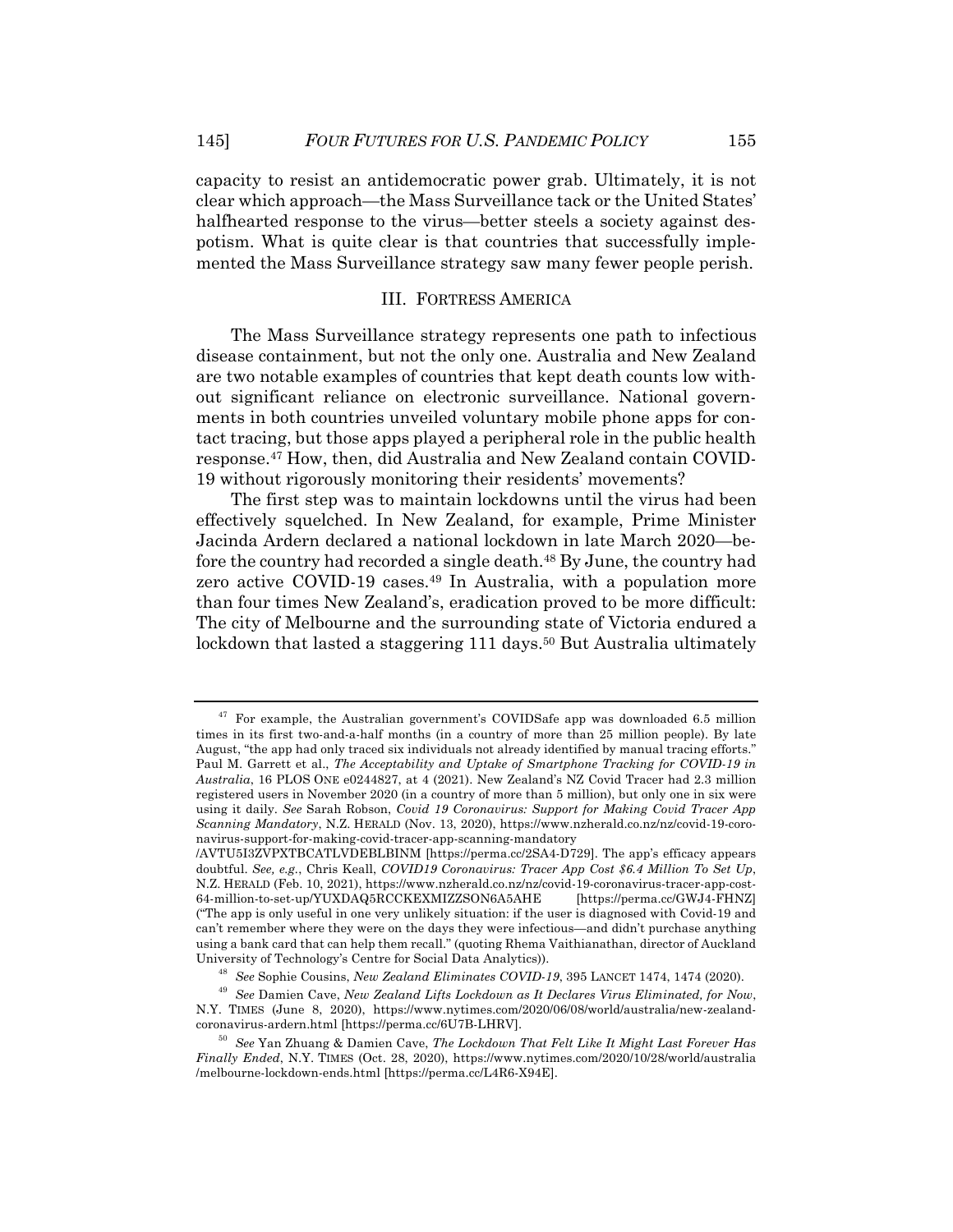capacity to resist an antidemocratic power grab. Ultimately, it is not clear which approach—the Mass Surveillance tack or the United States' halfhearted response to the virus—better steels a society against despotism. What is quite clear is that countries that successfully implemented the Mass Surveillance strategy saw many fewer people perish.

#### III. FORTRESS AMERICA

The Mass Surveillance strategy represents one path to infectious disease containment, but not the only one. Australia and New Zealand are two notable examples of countries that kept death counts low without significant reliance on electronic surveillance. National governments in both countries unveiled voluntary mobile phone apps for contact tracing, but those apps played a peripheral role in the public health response.47 How, then, did Australia and New Zealand contain COVID-19 without rigorously monitoring their residents' movements?

The first step was to maintain lockdowns until the virus had been effectively squelched. In New Zealand, for example, Prime Minister Jacinda Ardern declared a national lockdown in late March 2020—before the country had recorded a single death.<sup>48</sup> By June, the country had zero active COVID-19 cases.<sup>49</sup> In Australia, with a population more than four times New Zealand's, eradication proved to be more difficult: The city of Melbourne and the surrounding state of Victoria endured a lockdown that lasted a staggering 111 days.<sup>50</sup> But Australia ultimately

<sup>&</sup>lt;sup>47</sup> For example, the Australian government's COVIDSafe app was downloaded 6.5 million times in its first two-and-a-half months (in a country of more than 25 million people). By late August, "the app had only traced six individuals not already identified by manual tracing efforts." Paul M. Garrett et al., *The Acceptability and Uptake of Smartphone Tracking for COVID-19 in Australia*, 16 PLOS ONE e0244827, at 4 (2021). New Zealand's NZ Covid Tracer had 2.3 million registered users in November 2020 (in a country of more than 5 million), but only one in six were using it daily. *See* Sarah Robson, *Covid 19 Coronavirus: Support for Making Covid Tracer App Scanning Mandatory*, N.Z. HERALD (Nov. 13, 2020), https://www.nzherald.co.nz/nz/covid-19-coronavirus-support-for-making-covid-tracer-app-scanning-mandatory

<sup>/</sup>AVTU5I3ZVPXTBCATLVDEBLBINM [https://perma.cc/2SA4-D729]. The app's efficacy appears doubtful. *See, e.g.*, Chris Keall, *COVID19 Coronavirus: Tracer App Cost \$6.4 Million To Set Up*, N.Z. HERALD (Feb. 10, 2021), https://www.nzherald.co.nz/nz/covid-19-coronavirus-tracer-app-cost-64-million-to-set-up/YUXDAQ5RCCKEXMIZZSON6A5AHE ("The app is only useful in one very unlikely situation: if the user is diagnosed with Covid-19 and can't remember where they were on the days they were infectious—and didn't purchase anything using a bank card that can help them recall." (quoting Rhema Vaithianathan, director of Auckland University of Technology's Centre for Social Data Analytics)).

<sup>48</sup> *See* Sophie Cousins, *New Zealand Eliminates COVID-19*, 395 LANCET 1474, 1474 (2020).

<sup>49</sup> *See* Damien Cave, *New Zealand Lifts Lockdown as It Declares Virus Eliminated, for Now*, N.Y. TIMES (June 8, 2020), https://www.nytimes.com/2020/06/08/world/australia/new-zealandcoronavirus-ardern.html [https://perma.cc/6U7B-LHRV].

<sup>50</sup> *See* Yan Zhuang & Damien Cave, *The Lockdown That Felt Like It Might Last Forever Has Finally Ended*, N.Y. TIMES (Oct. 28, 2020), https://www.nytimes.com/2020/10/28/world/australia /melbourne-lockdown-ends.html [https://perma.cc/L4R6-X94E].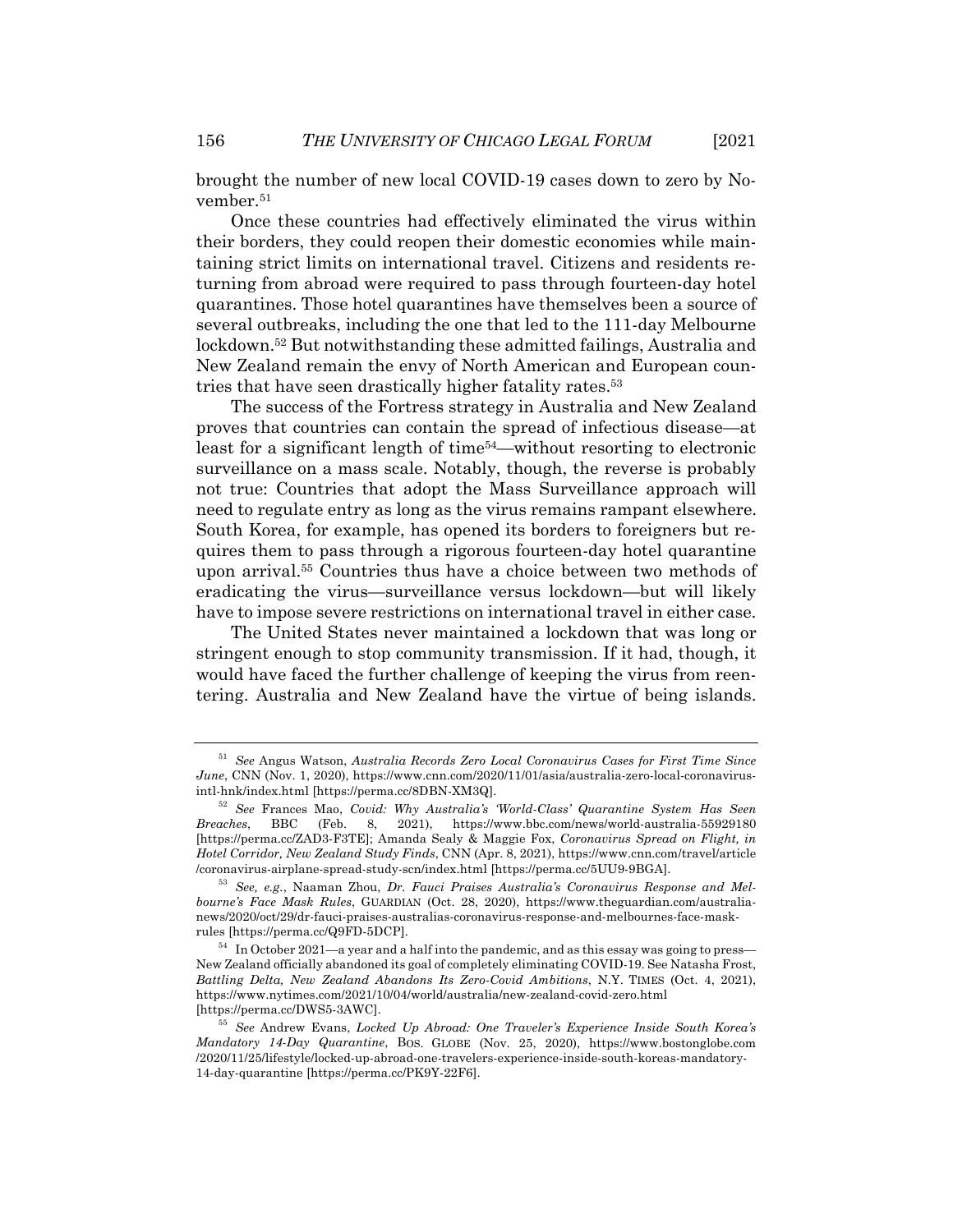brought the number of new local COVID-19 cases down to zero by November.51

Once these countries had effectively eliminated the virus within their borders, they could reopen their domestic economies while maintaining strict limits on international travel. Citizens and residents returning from abroad were required to pass through fourteen-day hotel quarantines. Those hotel quarantines have themselves been a source of several outbreaks, including the one that led to the 111-day Melbourne lockdown.52 But notwithstanding these admitted failings, Australia and New Zealand remain the envy of North American and European countries that have seen drastically higher fatality rates.53

The success of the Fortress strategy in Australia and New Zealand proves that countries can contain the spread of infectious disease—at least for a significant length of time54—without resorting to electronic surveillance on a mass scale. Notably, though, the reverse is probably not true: Countries that adopt the Mass Surveillance approach will need to regulate entry as long as the virus remains rampant elsewhere. South Korea, for example, has opened its borders to foreigners but requires them to pass through a rigorous fourteen-day hotel quarantine upon arrival.55 Countries thus have a choice between two methods of eradicating the virus—surveillance versus lockdown—but will likely have to impose severe restrictions on international travel in either case.

The United States never maintained a lockdown that was long or stringent enough to stop community transmission. If it had, though, it would have faced the further challenge of keeping the virus from reentering. Australia and New Zealand have the virtue of being islands.

<sup>51</sup> *See* Angus Watson, *Australia Records Zero Local Coronavirus Cases for First Time Since June*, CNN (Nov. 1, 2020), https://www.cnn.com/2020/11/01/asia/australia-zero-local-coronavirusintl-hnk/index.html [https://perma.cc/8DBN-XM3Q].

<sup>52</sup> *See* Frances Mao, *Covid: Why Australia's 'World-Class' Quarantine System Has Seen Breaches*, BBC (Feb. 8, 2021), https://www.bbc.com/news/world-australia-55929180 [https://perma.cc/ZAD3-F3TE]; Amanda Sealy & Maggie Fox, *Coronavirus Spread on Flight, in Hotel Corridor, New Zealand Study Finds*, CNN (Apr. 8, 2021), https://www.cnn.com/travel/article /coronavirus-airplane-spread-study-scn/index.html [https://perma.cc/5UU9-9BGA].

<sup>53</sup> *See, e.g.*, Naaman Zhou, *Dr. Fauci Praises Australia's Coronavirus Response and Melbourne's Face Mask Rules*, GUARDIAN (Oct. 28, 2020), https://www.theguardian.com/australianews/2020/oct/29/dr-fauci-praises-australias-coronavirus-response-and-melbournes-face-maskrules [https://perma.cc/Q9FD-5DCP].

 $54$  In October 2021—a year and a half into the pandemic, and as this essay was going to press— New Zealand officially abandoned its goal of completely eliminating COVID-19. See Natasha Frost, *Battling Delta, New Zealand Abandons Its Zero-Covid Ambitions*, N.Y. TIMES (Oct. 4, 2021), https://www.nytimes.com/2021/10/04/world/australia/new-zealand-covid-zero.html [https://perma.cc/DWS5-3AWC].

<sup>55</sup> *See* Andrew Evans, *Locked Up Abroad: One Traveler's Experience Inside South Korea's Mandatory 14-Day Quarantine*, BOS. GLOBE (Nov. 25, 2020), https://www.bostonglobe.com /2020/11/25/lifestyle/locked-up-abroad-one-travelers-experience-inside-south-koreas-mandatory-14-day-quarantine [https://perma.cc/PK9Y-22F6].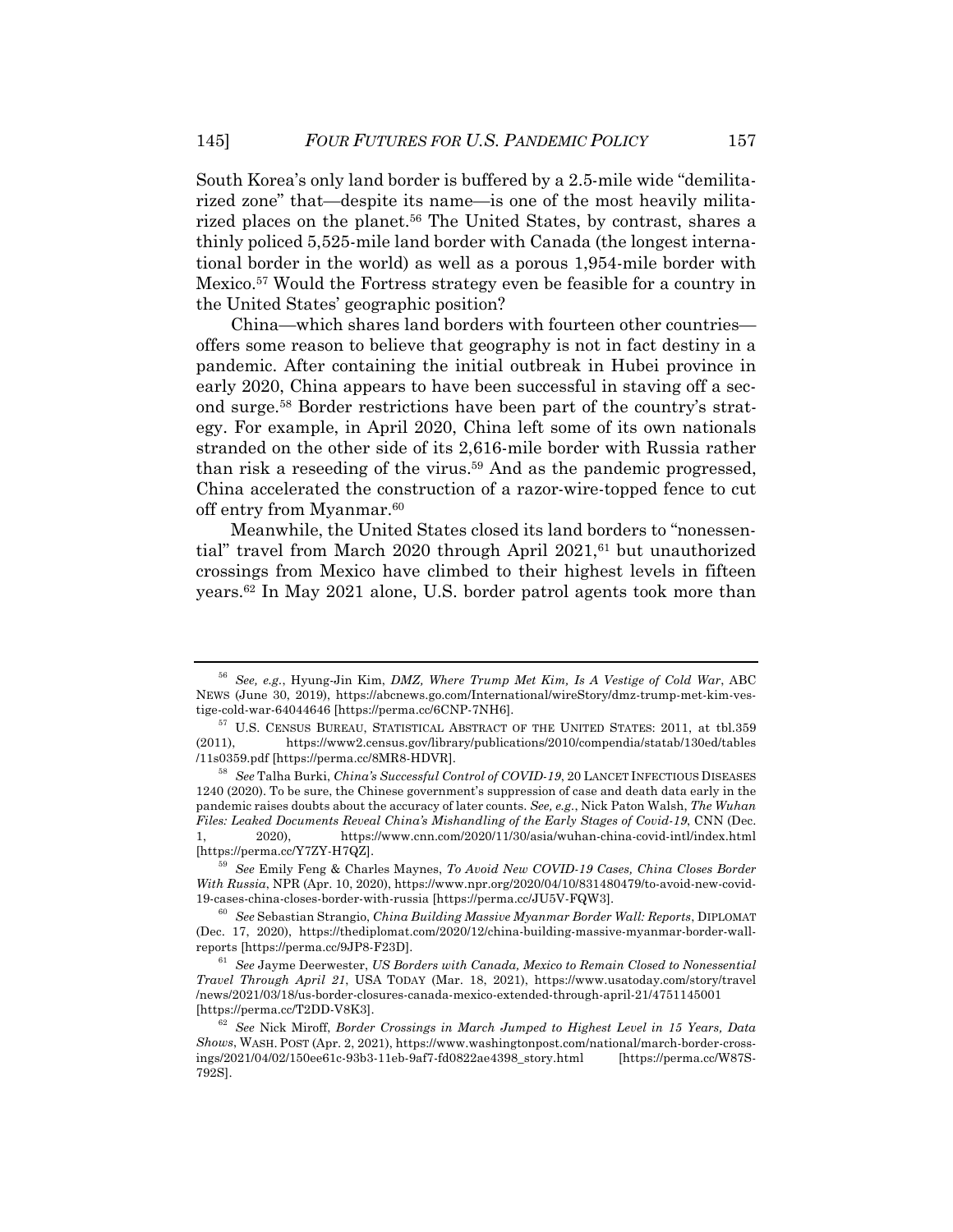South Korea's only land border is buffered by a 2.5-mile wide "demilitarized zone" that—despite its name—is one of the most heavily militarized places on the planet.<sup>56</sup> The United States, by contrast, shares a thinly policed 5,525-mile land border with Canada (the longest international border in the world) as well as a porous 1,954-mile border with Mexico.57 Would the Fortress strategy even be feasible for a country in the United States' geographic position?

China—which shares land borders with fourteen other countries offers some reason to believe that geography is not in fact destiny in a pandemic. After containing the initial outbreak in Hubei province in early 2020, China appears to have been successful in staving off a second surge.58 Border restrictions have been part of the country's strategy. For example, in April 2020, China left some of its own nationals stranded on the other side of its 2,616-mile border with Russia rather than risk a reseeding of the virus.59 And as the pandemic progressed, China accelerated the construction of a razor-wire-topped fence to cut off entry from Myanmar.60

Meanwhile, the United States closed its land borders to "nonessential" travel from March 2020 through April  $2021$ ,<sup>61</sup> but unauthorized crossings from Mexico have climbed to their highest levels in fifteen years.62 In May 2021 alone, U.S. border patrol agents took more than

<sup>56</sup> *See, e.g.*, Hyung-Jin Kim, *DMZ, Where Trump Met Kim, Is A Vestige of Cold War*, ABC NEWS (June 30, 2019), https://abcnews.go.com/International/wireStory/dmz-trump-met-kim-vestige-cold-war-64044646 [https://perma.cc/6CNP-7NH6].

<sup>57</sup> U.S. CENSUS BUREAU, STATISTICAL ABSTRACT OF THE UNITED STATES: 2011, at tbl.359 (2011), https://www2.census.gov/library/publications/2010/compendia/statab/130ed/tables /11s0359.pdf [https://perma.cc/8MR8-HDVR].

<sup>58</sup> *See* Talha Burki, *China's Successful Control of COVID-19*, 20 LANCET INFECTIOUS DISEASES 1240 (2020). To be sure, the Chinese government's suppression of case and death data early in the pandemic raises doubts about the accuracy of later counts. *See, e.g.*, Nick Paton Walsh, *The Wuhan Files: Leaked Documents Reveal China's Mishandling of the Early Stages of Covid-19*, CNN (Dec. 1, 2020), https://www.cnn.com/2020/11/30/asia/wuhan-china-covid-intl/index.html [https://perma.cc/Y7ZY-H7QZ].

<sup>59</sup> *See* Emily Feng & Charles Maynes, *To Avoid New COVID-19 Cases, China Closes Border With Russia*, NPR (Apr. 10, 2020), https://www.npr.org/2020/04/10/831480479/to-avoid-new-covid-19-cases-china-closes-border-with-russia [https://perma.cc/JU5V-FQW3].

<sup>60</sup> *See* Sebastian Strangio, *China Building Massive Myanmar Border Wall: Reports*, DIPLOMAT (Dec. 17, 2020), https://thediplomat.com/2020/12/china-building-massive-myanmar-border-wallreports [https://perma.cc/9JP8-F23D].

<sup>61</sup> *See* Jayme Deerwester, *US Borders with Canada, Mexico to Remain Closed to Nonessential Travel Through April 21*, USA TODAY (Mar. 18, 2021), https://www.usatoday.com/story/travel /news/2021/03/18/us-border-closures-canada-mexico-extended-through-april-21/4751145001 [https://perma.cc/T2DD-V8K3].

<sup>62</sup> *See* Nick Miroff, *Border Crossings in March Jumped to Highest Level in 15 Years, Data Shows*, WASH. POST (Apr. 2, 2021), https://www.washingtonpost.com/national/march-border-crossings/2021/04/02/150ee61c-93b3-11eb-9af7-fd0822ae4398\_story.html [https://perma.cc/W87S-792S].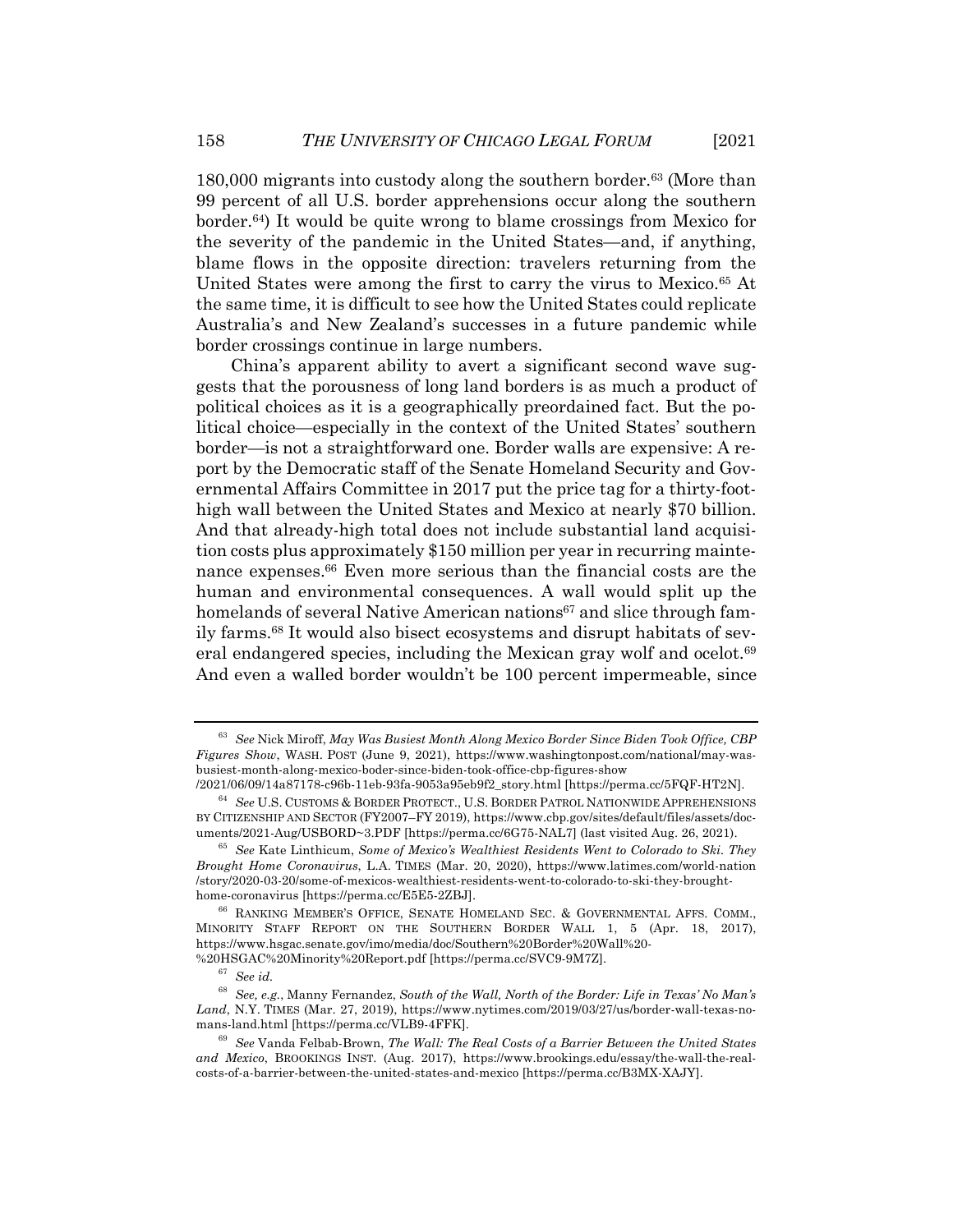180,000 migrants into custody along the southern border.63 (More than 99 percent of all U.S. border apprehensions occur along the southern border.64) It would be quite wrong to blame crossings from Mexico for the severity of the pandemic in the United States—and, if anything, blame flows in the opposite direction: travelers returning from the United States were among the first to carry the virus to Mexico.65 At the same time, it is difficult to see how the United States could replicate Australia's and New Zealand's successes in a future pandemic while border crossings continue in large numbers.

China's apparent ability to avert a significant second wave suggests that the porousness of long land borders is as much a product of political choices as it is a geographically preordained fact. But the political choice—especially in the context of the United States' southern border—is not a straightforward one. Border walls are expensive: A report by the Democratic staff of the Senate Homeland Security and Governmental Affairs Committee in 2017 put the price tag for a thirty-foothigh wall between the United States and Mexico at nearly \$70 billion. And that already-high total does not include substantial land acquisition costs plus approximately \$150 million per year in recurring maintenance expenses.66 Even more serious than the financial costs are the human and environmental consequences. A wall would split up the homelands of several Native American nations<sup>67</sup> and slice through family farms.68 It would also bisect ecosystems and disrupt habitats of several endangered species, including the Mexican gray wolf and ocelot.<sup>69</sup> And even a walled border wouldn't be 100 percent impermeable, since

<sup>63</sup> *See* Nick Miroff, *May Was Busiest Month Along Mexico Border Since Biden Took Office, CBP Figures Show*, WASH. POST (June 9, 2021), https://www.washingtonpost.com/national/may-wasbusiest-month-along-mexico-boder-since-biden-took-office-cbp-figures-show

<sup>/2021/06/09/14</sup>a87178-c96b-11eb-93fa-9053a95eb9f2\_story.html [https://perma.cc/5FQF-HT2N].

<sup>64</sup> *See* U.S. CUSTOMS & BORDER PROTECT., U.S. BORDER PATROL NATIONWIDE APPREHENSIONS BY CITIZENSHIP AND SECTOR (FY2007–FY 2019), https://www.cbp.gov/sites/default/files/assets/documents/2021-Aug/USBORD~3.PDF [https://perma.cc/6G75-NAL7] (last visited Aug. 26, 2021).

<sup>65</sup> *See* Kate Linthicum, *Some of Mexico's Wealthiest Residents Went to Colorado to Ski. They Brought Home Coronavirus*, L.A. TIMES (Mar. 20, 2020), https://www.latimes.com/world-nation /story/2020-03-20/some-of-mexicos-wealthiest-residents-went-to-colorado-to-ski-they-broughthome-coronavirus [https://perma.cc/E5E5-2ZBJ].

<sup>66</sup> RANKING MEMBER'S OFFICE, SENATE HOMELAND SEC. & GOVERNMENTAL AFFS. COMM., MINORITY STAFF REPORT ON THE SOUTHERN BORDER WALL 1, 5 (Apr. 18, 2017), https://www.hsgac.senate.gov/imo/media/doc/Southern%20Border%20Wall%20- %20HSGAC%20Minority%20Report.pdf [https://perma.cc/SVC9-9M7Z].

<sup>67</sup> *See id.*

<sup>68</sup> *See, e.g.*, Manny Fernandez, *South of the Wall, North of the Border: Life in Texas' No Man's Land*, N.Y. TIMES (Mar. 27, 2019), https://www.nytimes.com/2019/03/27/us/border-wall-texas-nomans-land.html [https://perma.cc/VLB9-4FFK].

<sup>69</sup> *See* Vanda Felbab-Brown, *The Wall: The Real Costs of a Barrier Between the United States and Mexico*, BROOKINGS INST. (Aug. 2017), https://www.brookings.edu/essay/the-wall-the-realcosts-of-a-barrier-between-the-united-states-and-mexico [https://perma.cc/B3MX-XAJY].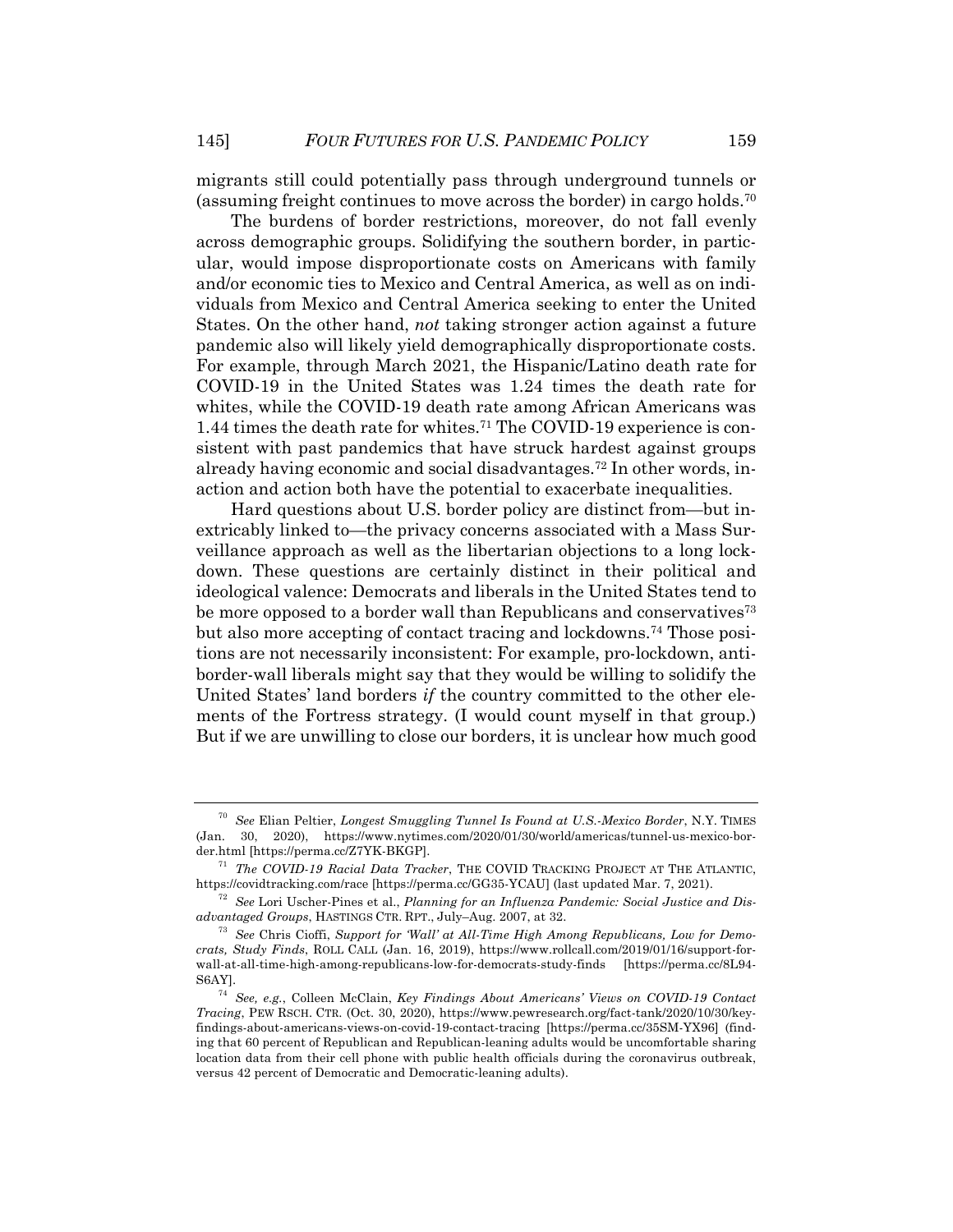migrants still could potentially pass through underground tunnels or (assuming freight continues to move across the border) in cargo holds.70

The burdens of border restrictions, moreover, do not fall evenly across demographic groups. Solidifying the southern border, in particular, would impose disproportionate costs on Americans with family and/or economic ties to Mexico and Central America, as well as on individuals from Mexico and Central America seeking to enter the United States. On the other hand, *not* taking stronger action against a future pandemic also will likely yield demographically disproportionate costs. For example, through March 2021, the Hispanic/Latino death rate for COVID-19 in the United States was 1.24 times the death rate for whites, while the COVID-19 death rate among African Americans was 1.44 times the death rate for whites.71 The COVID-19 experience is consistent with past pandemics that have struck hardest against groups already having economic and social disadvantages.72 In other words, inaction and action both have the potential to exacerbate inequalities.

Hard questions about U.S. border policy are distinct from—but inextricably linked to—the privacy concerns associated with a Mass Surveillance approach as well as the libertarian objections to a long lockdown. These questions are certainly distinct in their political and ideological valence: Democrats and liberals in the United States tend to be more opposed to a border wall than Republicans and conservatives<sup>73</sup> but also more accepting of contact tracing and lockdowns.74 Those positions are not necessarily inconsistent: For example, pro-lockdown, antiborder-wall liberals might say that they would be willing to solidify the United States' land borders *if* the country committed to the other elements of the Fortress strategy. (I would count myself in that group.) But if we are unwilling to close our borders, it is unclear how much good

<sup>70</sup> *See* Elian Peltier, *Longest Smuggling Tunnel Is Found at U.S.-Mexico Border*, N.Y. TIMES (Jan. 30, 2020), https://www.nytimes.com/2020/01/30/world/americas/tunnel-us-mexico-border.html [https://perma.cc/Z7YK-BKGP].

<sup>71</sup> *The COVID-19 Racial Data Tracker*, THE COVID TRACKING PROJECT AT THE ATLANTIC, https://covidtracking.com/race [https://perma.cc/GG35-YCAU] (last updated Mar. 7, 2021).

<sup>72</sup> *See* Lori Uscher-Pines et al., *Planning for an Influenza Pandemic: Social Justice and Disadvantaged Groups*, HASTINGS CTR. RPT., July–Aug. 2007, at 32.

<sup>73</sup> *See* Chris Cioffi, *Support for 'Wall' at All-Time High Among Republicans, Low for Democrats, Study Finds*, ROLL CALL (Jan. 16, 2019), https://www.rollcall.com/2019/01/16/support-forwall-at-all-time-high-among-republicans-low-for-democrats-study-finds [https://perma.cc/8L94- S6AY].

<sup>74</sup> *See, e.g.*, Colleen McClain, *Key Findings About Americans' Views on COVID-19 Contact Tracing*, PEW RSCH. CTR. (Oct. 30, 2020), https://www.pewresearch.org/fact-tank/2020/10/30/keyfindings-about-americans-views-on-covid-19-contact-tracing [https://perma.cc/35SM-YX96] (finding that 60 percent of Republican and Republican-leaning adults would be uncomfortable sharing location data from their cell phone with public health officials during the coronavirus outbreak, versus 42 percent of Democratic and Democratic-leaning adults).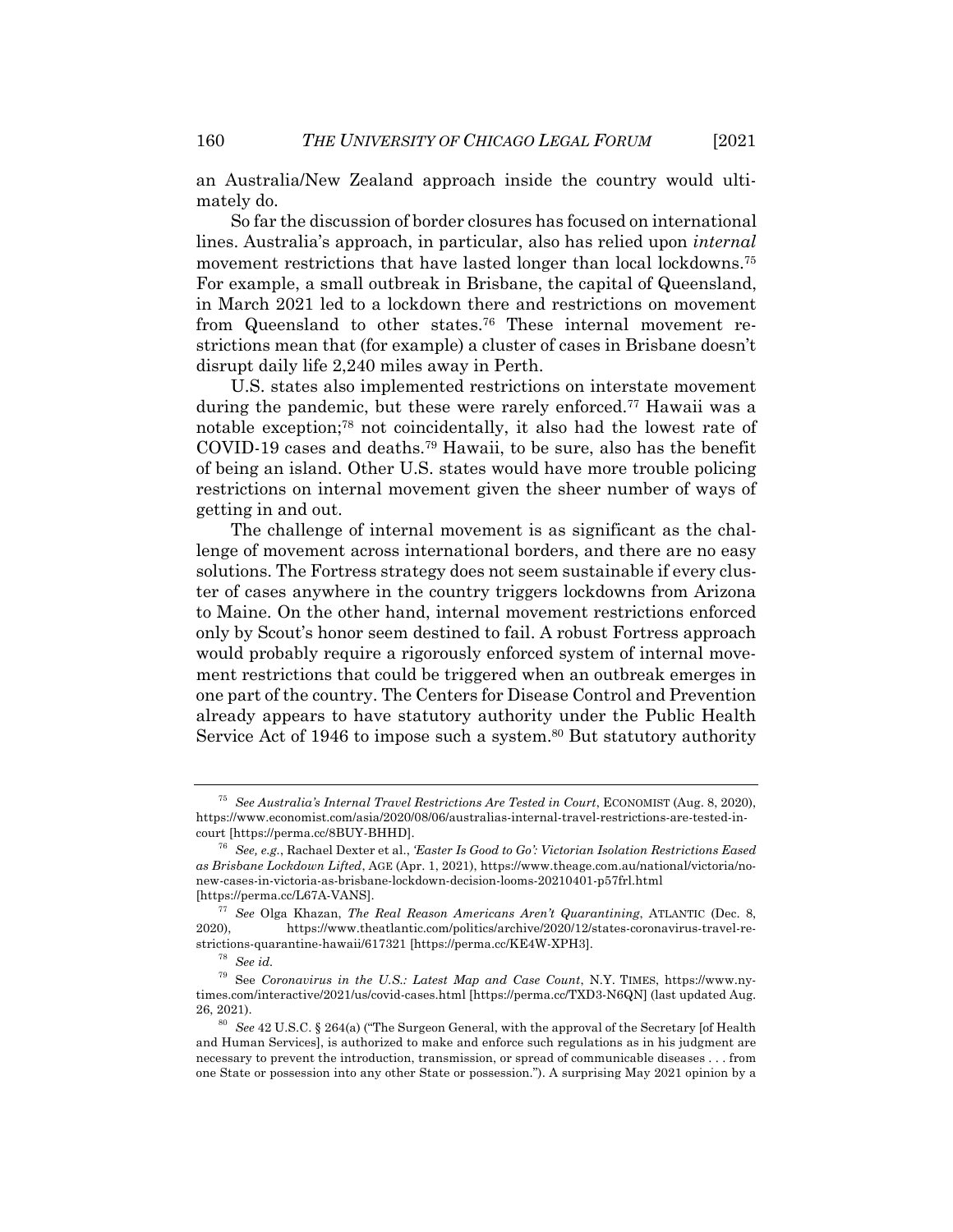an Australia/New Zealand approach inside the country would ultimately do.

So far the discussion of border closures has focused on international lines. Australia's approach, in particular, also has relied upon *internal* movement restrictions that have lasted longer than local lockdowns.<sup>75</sup> For example, a small outbreak in Brisbane, the capital of Queensland, in March 2021 led to a lockdown there and restrictions on movement from Queensland to other states.76 These internal movement restrictions mean that (for example) a cluster of cases in Brisbane doesn't disrupt daily life 2,240 miles away in Perth.

U.S. states also implemented restrictions on interstate movement during the pandemic, but these were rarely enforced.<sup>77</sup> Hawaii was a notable exception;78 not coincidentally, it also had the lowest rate of COVID-19 cases and deaths.79 Hawaii, to be sure, also has the benefit of being an island. Other U.S. states would have more trouble policing restrictions on internal movement given the sheer number of ways of getting in and out.

The challenge of internal movement is as significant as the challenge of movement across international borders, and there are no easy solutions. The Fortress strategy does not seem sustainable if every cluster of cases anywhere in the country triggers lockdowns from Arizona to Maine. On the other hand, internal movement restrictions enforced only by Scout's honor seem destined to fail. A robust Fortress approach would probably require a rigorously enforced system of internal movement restrictions that could be triggered when an outbreak emerges in one part of the country. The Centers for Disease Control and Prevention already appears to have statutory authority under the Public Health Service Act of 1946 to impose such a system.<sup>80</sup> But statutory authority

<sup>75</sup> *See Australia's Internal Travel Restrictions Are Tested in Court*, ECONOMIST (Aug. 8, 2020), https://www.economist.com/asia/2020/08/06/australias-internal-travel-restrictions-are-tested-incourt [https://perma.cc/8BUY-BHHD].

<sup>76</sup> *See, e.g.*, Rachael Dexter et al., *'Easter Is Good to Go': Victorian Isolation Restrictions Eased as Brisbane Lockdown Lifted*, AGE (Apr. 1, 2021), https://www.theage.com.au/national/victoria/nonew-cases-in-victoria-as-brisbane-lockdown-decision-looms-20210401-p57frl.html [https://perma.cc/L67A-VANS].

<sup>77</sup> *See* Olga Khazan, *The Real Reason Americans Aren't Quarantining*, ATLANTIC (Dec. 8, 2020), https://www.theatlantic.com/politics/archive/2020/12/states-coronavirus-travel-restrictions-quarantine-hawaii/617321 [https://perma.cc/KE4W-XPH3].

<sup>78</sup> *See id.*

<sup>79</sup> See *Coronavirus in the U.S.: Latest Map and Case Count*, N.Y. TIMES, https://www.nytimes.com/interactive/2021/us/covid-cases.html [https://perma.cc/TXD3-N6QN] (last updated Aug. 26, 2021).

<sup>80</sup> *See* 42 U.S.C. § 264(a) ("The Surgeon General, with the approval of the Secretary [of Health and Human Services], is authorized to make and enforce such regulations as in his judgment are necessary to prevent the introduction, transmission, or spread of communicable diseases . . . from one State or possession into any other State or possession."). A surprising May 2021 opinion by a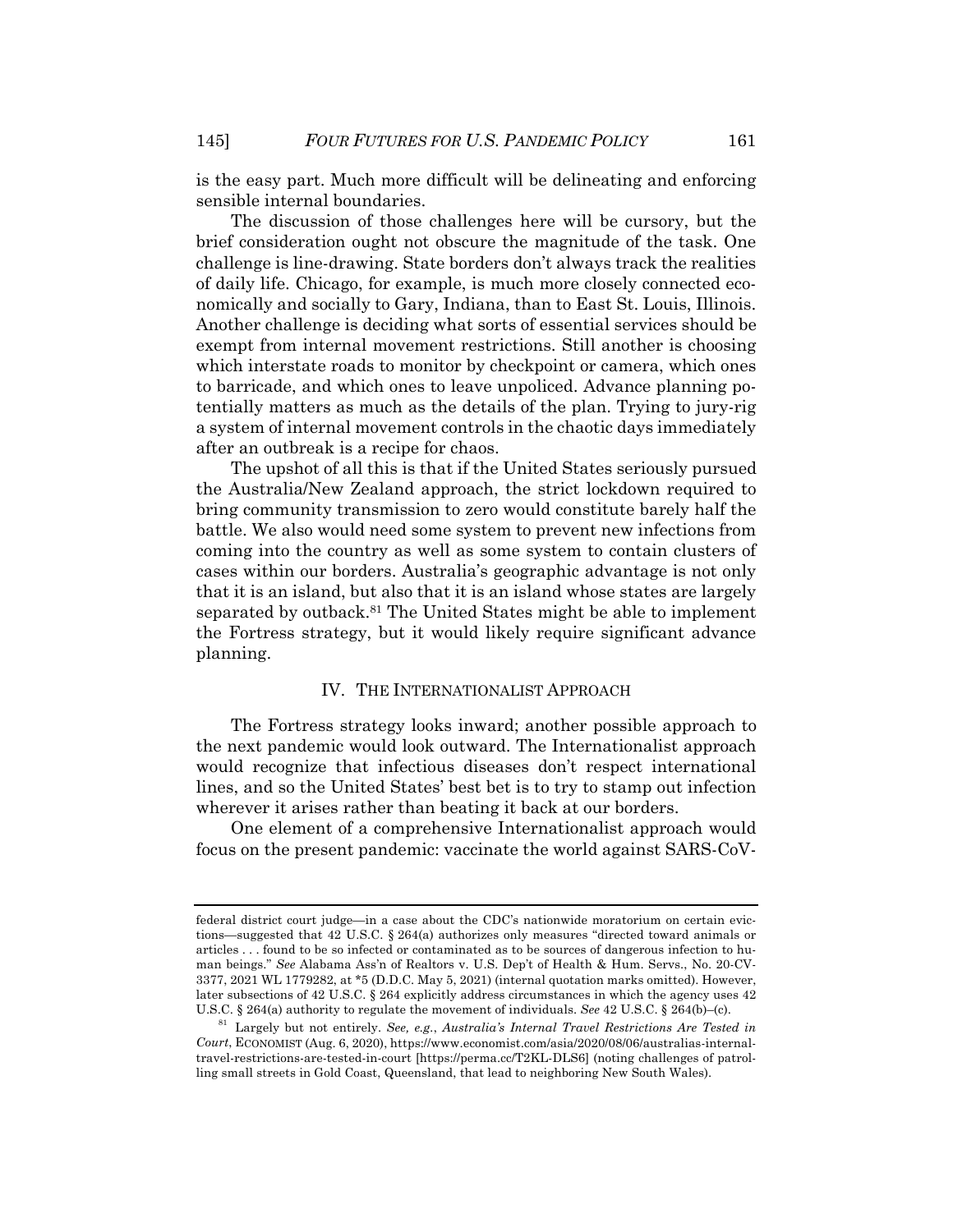is the easy part. Much more difficult will be delineating and enforcing sensible internal boundaries.

The discussion of those challenges here will be cursory, but the brief consideration ought not obscure the magnitude of the task. One challenge is line-drawing. State borders don't always track the realities of daily life. Chicago, for example, is much more closely connected economically and socially to Gary, Indiana, than to East St. Louis, Illinois. Another challenge is deciding what sorts of essential services should be exempt from internal movement restrictions. Still another is choosing which interstate roads to monitor by checkpoint or camera, which ones to barricade, and which ones to leave unpoliced. Advance planning potentially matters as much as the details of the plan. Trying to jury-rig a system of internal movement controls in the chaotic days immediately after an outbreak is a recipe for chaos.

The upshot of all this is that if the United States seriously pursued the Australia/New Zealand approach, the strict lockdown required to bring community transmission to zero would constitute barely half the battle. We also would need some system to prevent new infections from coming into the country as well as some system to contain clusters of cases within our borders. Australia's geographic advantage is not only that it is an island, but also that it is an island whose states are largely separated by outback.<sup>81</sup> The United States might be able to implement the Fortress strategy, but it would likely require significant advance planning.

#### IV. THE INTERNATIONALIST APPROACH

The Fortress strategy looks inward; another possible approach to the next pandemic would look outward. The Internationalist approach would recognize that infectious diseases don't respect international lines, and so the United States' best bet is to try to stamp out infection wherever it arises rather than beating it back at our borders.

One element of a comprehensive Internationalist approach would focus on the present pandemic: vaccinate the world against SARS-CoV-

federal district court judge—in a case about the CDC's nationwide moratorium on certain evictions—suggested that 42 U.S.C. § 264(a) authorizes only measures "directed toward animals or articles . . . found to be so infected or contaminated as to be sources of dangerous infection to human beings." *See* Alabama Ass'n of Realtors v. U.S. Dep't of Health & Hum. Servs., No. 20-CV-3377, 2021 WL 1779282, at \*5 (D.D.C. May 5, 2021) (internal quotation marks omitted). However, later subsections of 42 U.S.C. § 264 explicitly address circumstances in which the agency uses 42 U.S.C. § 264(a) authority to regulate the movement of individuals. *See* 42 U.S.C. § 264(b)–(c).

<sup>81</sup> Largely but not entirely. *See, e.g.*, *Australia's Internal Travel Restrictions Are Tested in Court*, ECONOMIST (Aug. 6, 2020), https://www.economist.com/asia/2020/08/06/australias-internaltravel-restrictions-are-tested-in-court [https://perma.cc/T2KL-DLS6] (noting challenges of patrolling small streets in Gold Coast, Queensland, that lead to neighboring New South Wales).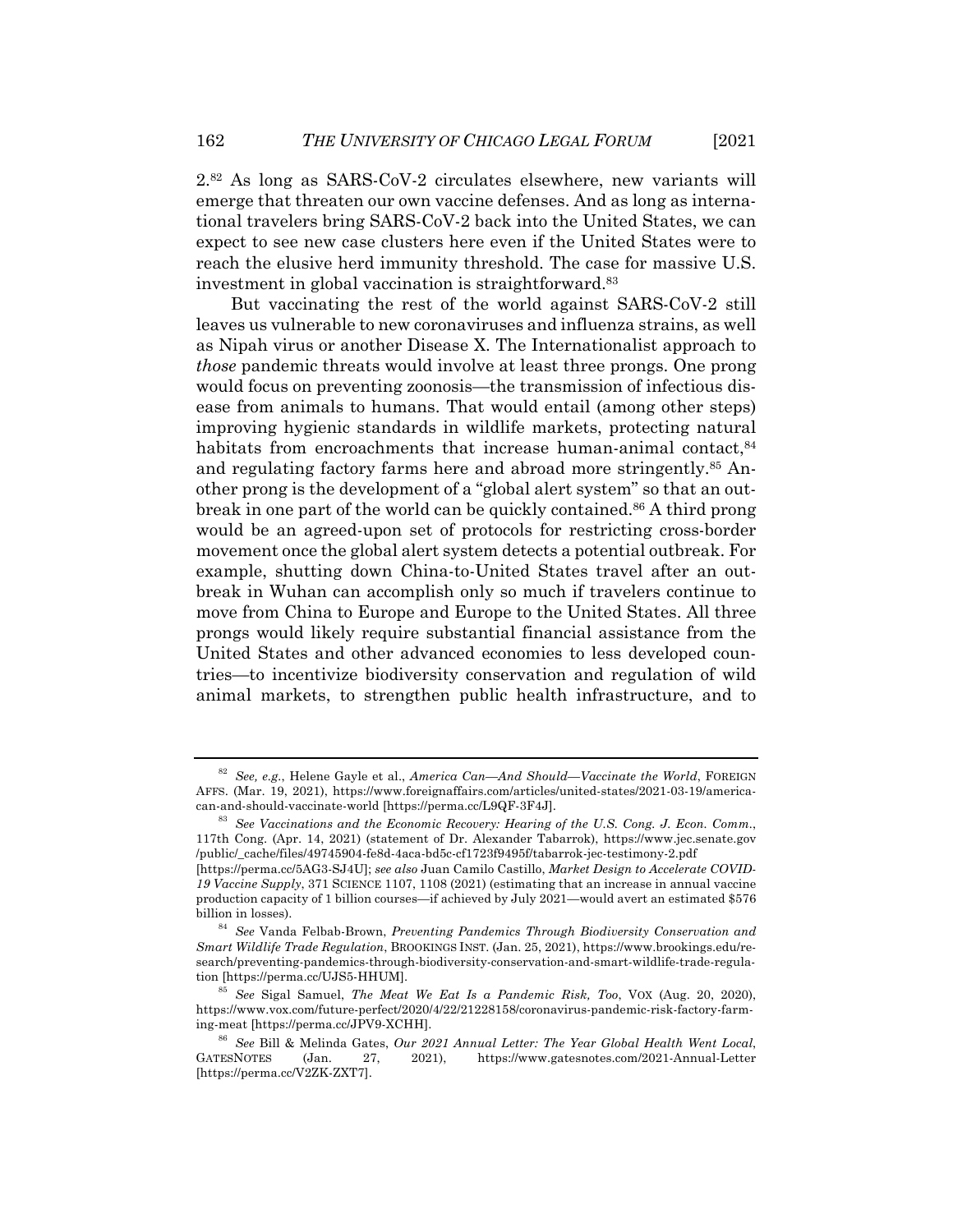2.82 As long as SARS-CoV-2 circulates elsewhere, new variants will emerge that threaten our own vaccine defenses. And as long as international travelers bring SARS-CoV-2 back into the United States, we can expect to see new case clusters here even if the United States were to reach the elusive herd immunity threshold. The case for massive U.S. investment in global vaccination is straightforward.83

But vaccinating the rest of the world against SARS-CoV-2 still leaves us vulnerable to new coronaviruses and influenza strains, as well as Nipah virus or another Disease X. The Internationalist approach to *those* pandemic threats would involve at least three prongs. One prong would focus on preventing zoonosis—the transmission of infectious disease from animals to humans. That would entail (among other steps) improving hygienic standards in wildlife markets, protecting natural habitats from encroachments that increase human-animal contact,  $84$ and regulating factory farms here and abroad more stringently.<sup>85</sup> Another prong is the development of a "global alert system" so that an outbreak in one part of the world can be quickly contained.<sup>86</sup> A third prong would be an agreed-upon set of protocols for restricting cross-border movement once the global alert system detects a potential outbreak. For example, shutting down China-to-United States travel after an outbreak in Wuhan can accomplish only so much if travelers continue to move from China to Europe and Europe to the United States. All three prongs would likely require substantial financial assistance from the United States and other advanced economies to less developed countries—to incentivize biodiversity conservation and regulation of wild animal markets, to strengthen public health infrastructure, and to

<sup>82</sup> *See, e.g.*, Helene Gayle et al., *America Can—And Should—Vaccinate the World*, FOREIGN AFFS. (Mar. 19, 2021), https://www.foreignaffairs.com/articles/united-states/2021-03-19/americacan-and-should-vaccinate-world [https://perma.cc/L9QF-3F4J].

<sup>83</sup> *See Vaccinations and the Economic Recovery: Hearing of the U.S. Cong. J. Econ. Comm.*, 117th Cong. (Apr. 14, 2021) (statement of Dr. Alexander Tabarrok), https://www.jec.senate.gov /public/\_cache/files/49745904-fe8d-4aca-bd5c-cf1723f9495f/tabarrok-jec-testimony-2.pdf

<sup>[</sup>https://perma.cc/5AG3-SJ4U]; *see also* Juan Camilo Castillo, *Market Design to Accelerate COVID-19 Vaccine Supply*, 371 SCIENCE 1107, 1108 (2021) (estimating that an increase in annual vaccine production capacity of 1 billion courses—if achieved by July 2021—would avert an estimated \$576 billion in losses).

<sup>84</sup> *See* Vanda Felbab-Brown, *Preventing Pandemics Through Biodiversity Conservation and Smart Wildlife Trade Regulation*, BROOKINGS INST. (Jan. 25, 2021), https://www.brookings.edu/research/preventing-pandemics-through-biodiversity-conservation-and-smart-wildlife-trade-regulation [https://perma.cc/UJS5-HHUM].

<sup>85</sup> *See* Sigal Samuel, *The Meat We Eat Is a Pandemic Risk, Too*, VOX (Aug. 20, 2020), https://www.vox.com/future-perfect/2020/4/22/21228158/coronavirus-pandemic-risk-factory-farming-meat [https://perma.cc/JPV9-XCHH].

<sup>86</sup> *See* Bill & Melinda Gates, *Our 2021 Annual Letter: The Year Global Health Went Local*, GATESNOTES (Jan. 27, 2021), https://www.gatesnotes.com/2021-Annual-Letter [https://perma.cc/V2ZK-ZXT7].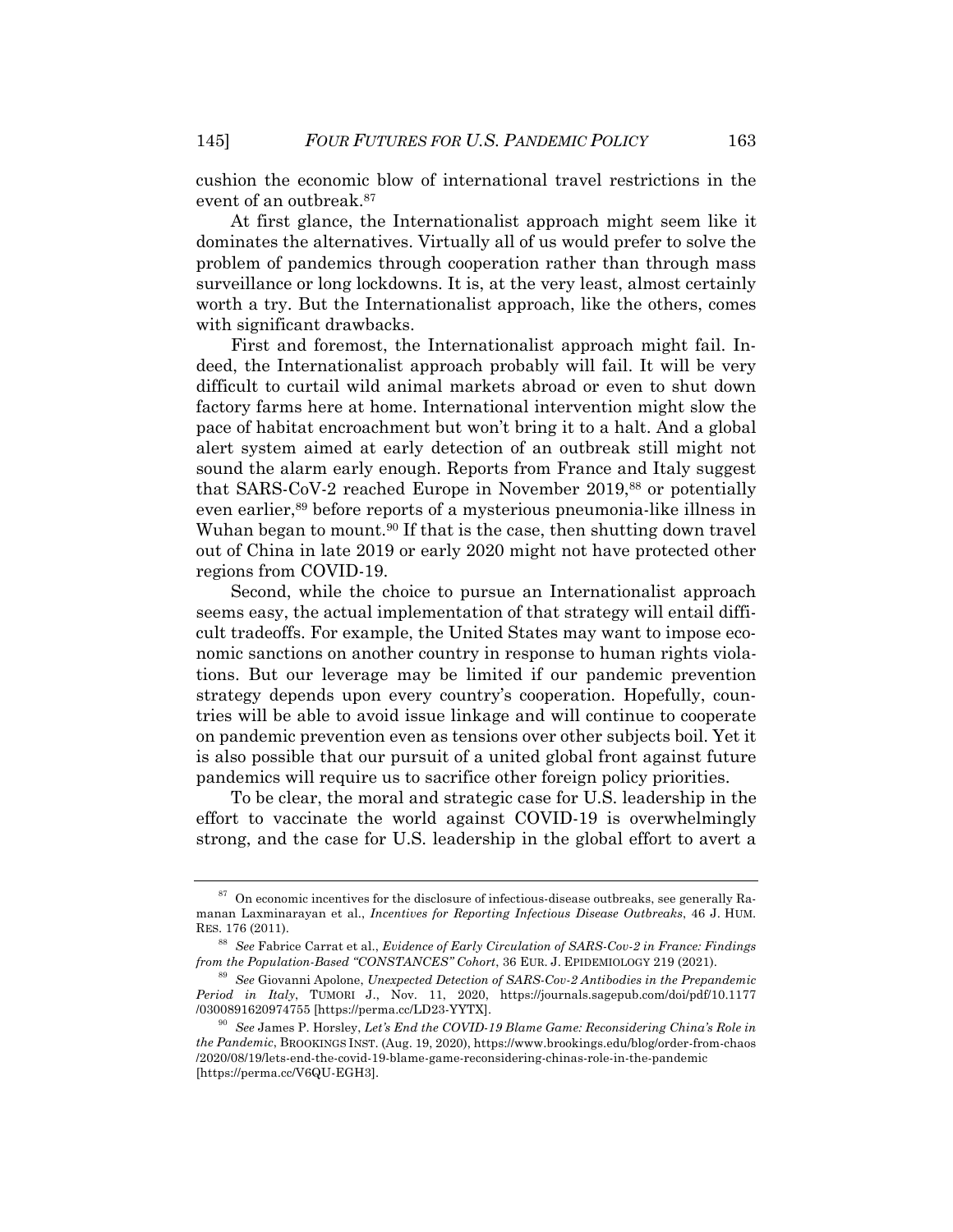cushion the economic blow of international travel restrictions in the event of an outbreak.87

At first glance, the Internationalist approach might seem like it dominates the alternatives. Virtually all of us would prefer to solve the problem of pandemics through cooperation rather than through mass surveillance or long lockdowns. It is, at the very least, almost certainly worth a try. But the Internationalist approach, like the others, comes with significant drawbacks.

First and foremost, the Internationalist approach might fail. Indeed, the Internationalist approach probably will fail. It will be very difficult to curtail wild animal markets abroad or even to shut down factory farms here at home. International intervention might slow the pace of habitat encroachment but won't bring it to a halt. And a global alert system aimed at early detection of an outbreak still might not sound the alarm early enough. Reports from France and Italy suggest that SARS-CoV-2 reached Europe in November 2019,88 or potentially even earlier,<sup>89</sup> before reports of a mysterious pneumonia-like illness in Wuhan began to mount.<sup>90</sup> If that is the case, then shutting down travel out of China in late 2019 or early 2020 might not have protected other regions from COVID-19.

Second, while the choice to pursue an Internationalist approach seems easy, the actual implementation of that strategy will entail difficult tradeoffs. For example, the United States may want to impose economic sanctions on another country in response to human rights violations. But our leverage may be limited if our pandemic prevention strategy depends upon every country's cooperation. Hopefully, countries will be able to avoid issue linkage and will continue to cooperate on pandemic prevention even as tensions over other subjects boil. Yet it is also possible that our pursuit of a united global front against future pandemics will require us to sacrifice other foreign policy priorities.

To be clear, the moral and strategic case for U.S. leadership in the effort to vaccinate the world against COVID-19 is overwhelmingly strong, and the case for U.S. leadership in the global effort to avert a

 $87$  On economic incentives for the disclosure of infectious-disease outbreaks, see generally Ramanan Laxminarayan et al., *Incentives for Reporting Infectious Disease Outbreaks*, 46 J. HUM. RES. 176 (2011).

<sup>88</sup> *See* Fabrice Carrat et al., *Evidence of Early Circulation of SARS-Cov-2 in France: Findings from the Population-Based "CONSTANCES" Cohort*, 36 EUR. J. EPIDEMIOLOGY 219 (2021).

<sup>89</sup> *See* Giovanni Apolone, *Unexpected Detection of SARS-Cov-2 Antibodies in the Prepandemic Period in Italy*, TUMORI J., Nov. 11, 2020, https://journals.sagepub.com/doi/pdf/10.1177 /0300891620974755 [https://perma.cc/LD23-YYTX].

<sup>90</sup> *See* James P. Horsley, *Let's End the COVID-19 Blame Game: Reconsidering China's Role in the Pandemic*, BROOKINGS INST. (Aug. 19, 2020), https://www.brookings.edu/blog/order-from-chaos /2020/08/19/lets-end-the-covid-19-blame-game-reconsidering-chinas-role-in-the-pandemic [https://perma.cc/V6QU-EGH3].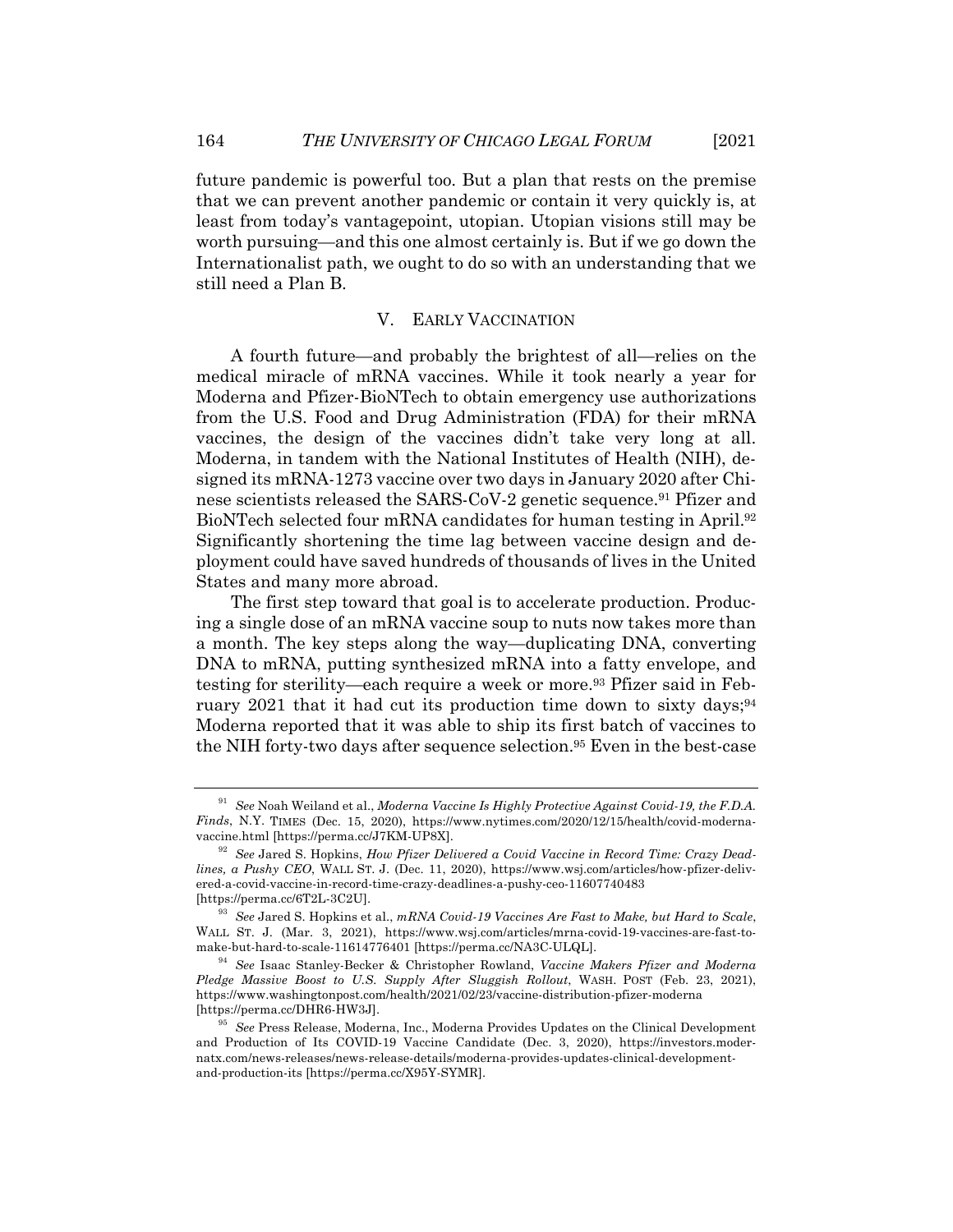future pandemic is powerful too. But a plan that rests on the premise that we can prevent another pandemic or contain it very quickly is, at least from today's vantagepoint, utopian. Utopian visions still may be worth pursuing—and this one almost certainly is. But if we go down the Internationalist path, we ought to do so with an understanding that we still need a Plan B.

### V. EARLY VACCINATION

A fourth future—and probably the brightest of all—relies on the medical miracle of mRNA vaccines. While it took nearly a year for Moderna and Pfizer-BioNTech to obtain emergency use authorizations from the U.S. Food and Drug Administration (FDA) for their mRNA vaccines, the design of the vaccines didn't take very long at all. Moderna, in tandem with the National Institutes of Health (NIH), designed its mRNA-1273 vaccine over two days in January 2020 after Chinese scientists released the SARS-CoV-2 genetic sequence.91 Pfizer and BioNTech selected four mRNA candidates for human testing in April.92 Significantly shortening the time lag between vaccine design and deployment could have saved hundreds of thousands of lives in the United States and many more abroad.

The first step toward that goal is to accelerate production. Producing a single dose of an mRNA vaccine soup to nuts now takes more than a month. The key steps along the way—duplicating DNA, converting DNA to mRNA, putting synthesized mRNA into a fatty envelope, and testing for sterility—each require a week or more.<sup>93</sup> Pfizer said in February 2021 that it had cut its production time down to sixty days;  $94$ Moderna reported that it was able to ship its first batch of vaccines to the NIH forty-two days after sequence selection.<sup>95</sup> Even in the best-case

<sup>91</sup> *See* Noah Weiland et al., *Moderna Vaccine Is Highly Protective Against Covid-19, the F.D.A. Finds*, N.Y. TIMES (Dec. 15, 2020), https://www.nytimes.com/2020/12/15/health/covid-modernavaccine.html [https://perma.cc/J7KM-UP8X].

<sup>92</sup> *See* Jared S. Hopkins, *How Pfizer Delivered a Covid Vaccine in Record Time: Crazy Deadlines, a Pushy CEO*, WALL ST. J. (Dec. 11, 2020), https://www.wsj.com/articles/how-pfizer-delivered-a-covid-vaccine-in-record-time-crazy-deadlines-a-pushy-ceo-11607740483 [https://perma.cc/6T2L-3C2U].

<sup>93</sup> *See* Jared S. Hopkins et al., *mRNA Covid-19 Vaccines Are Fast to Make, but Hard to Scale*, WALL ST. J. (Mar. 3, 2021), https://www.wsj.com/articles/mrna-covid-19-vaccines-are-fast-tomake-but-hard-to-scale-11614776401 [https://perma.cc/NA3C-ULQL].

<sup>94</sup> *See* Isaac Stanley-Becker & Christopher Rowland, *Vaccine Makers Pfizer and Moderna Pledge Massive Boost to U.S. Supply After Sluggish Rollout*, WASH. POST (Feb. 23, 2021), https://www.washingtonpost.com/health/2021/02/23/vaccine-distribution-pfizer-moderna [https://perma.cc/DHR6-HW3J].

<sup>95</sup> *See* Press Release, Moderna, Inc., Moderna Provides Updates on the Clinical Development and Production of Its COVID-19 Vaccine Candidate (Dec. 3, 2020), https://investors.modernatx.com/news-releases/news-release-details/moderna-provides-updates-clinical-developmentand-production-its [https://perma.cc/X95Y-SYMR].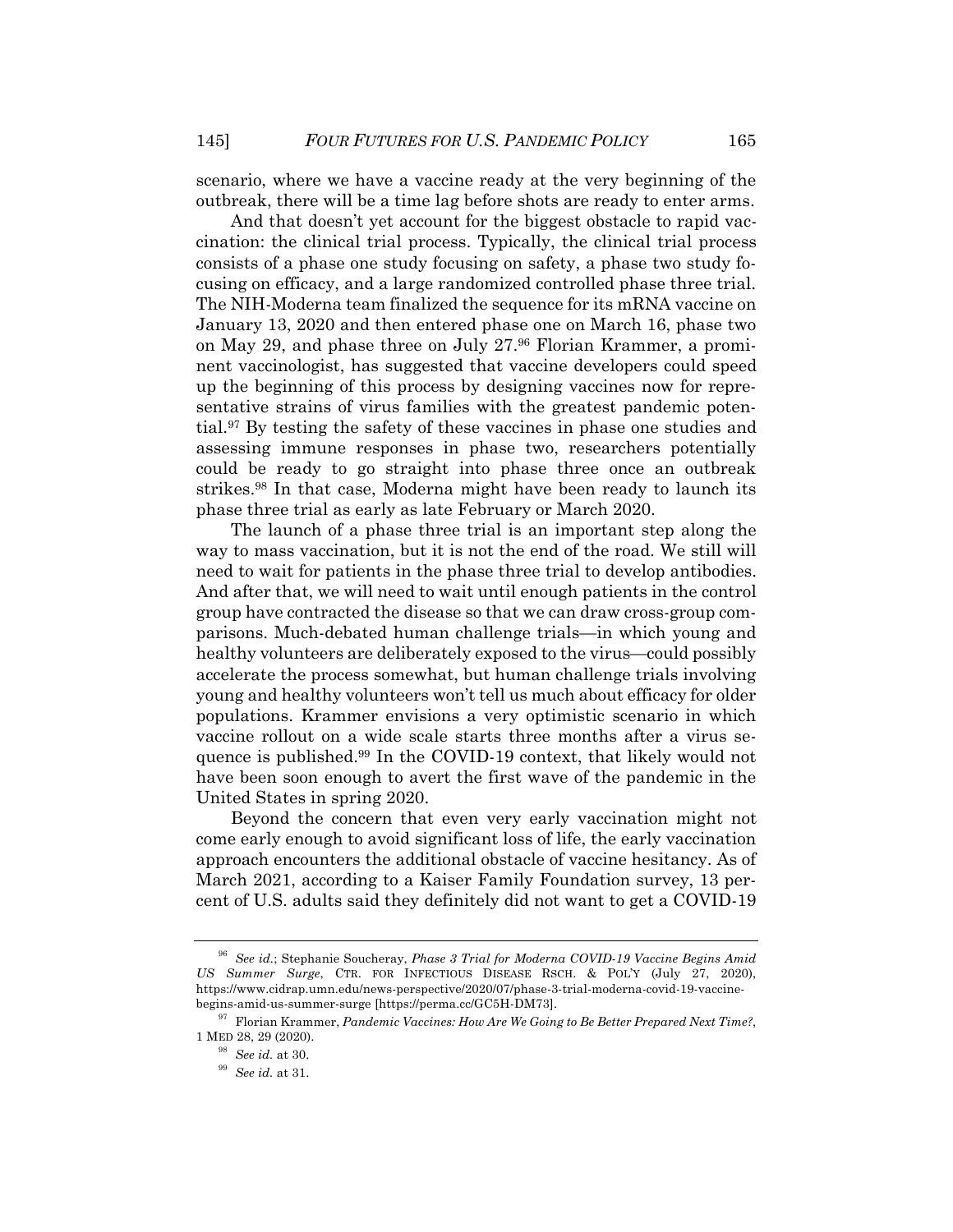scenario, where we have a vaccine ready at the very beginning of the outbreak, there will be a time lag before shots are ready to enter arms.

And that doesn't yet account for the biggest obstacle to rapid vaccination: the clinical trial process. Typically, the clinical trial process consists of a phase one study focusing on safety, a phase two study focusing on efficacy, and a large randomized controlled phase three trial. The NIH-Moderna team finalized the sequence for its mRNA vaccine on January 13, 2020 and then entered phase one on March 16, phase two on May 29, and phase three on July 27.96 Florian Krammer, a prominent vaccinologist, has suggested that vaccine developers could speed up the beginning of this process by designing vaccines now for representative strains of virus families with the greatest pandemic potential.97 By testing the safety of these vaccines in phase one studies and assessing immune responses in phase two, researchers potentially could be ready to go straight into phase three once an outbreak strikes.98 In that case, Moderna might have been ready to launch its phase three trial as early as late February or March 2020.

The launch of a phase three trial is an important step along the way to mass vaccination, but it is not the end of the road. We still will need to wait for patients in the phase three trial to develop antibodies. And after that, we will need to wait until enough patients in the control group have contracted the disease so that we can draw cross-group comparisons. Much-debated human challenge trials—in which young and healthy volunteers are deliberately exposed to the virus—could possibly accelerate the process somewhat, but human challenge trials involving young and healthy volunteers won't tell us much about efficacy for older populations. Krammer envisions a very optimistic scenario in which vaccine rollout on a wide scale starts three months after a virus sequence is published.99 In the COVID-19 context, that likely would not have been soon enough to avert the first wave of the pandemic in the United States in spring 2020.

Beyond the concern that even very early vaccination might not come early enough to avoid significant loss of life, the early vaccination approach encounters the additional obstacle of vaccine hesitancy. As of March 2021, according to a Kaiser Family Foundation survey, 13 percent of U.S. adults said they definitely did not want to get a COVID-19

<sup>96</sup> *See id.*; Stephanie Soucheray, *Phase 3 Trial for Moderna COVID-19 Vaccine Begins Amid US Summer Surge*, CTR. FOR INFECTIOUS DISEASE RSCH. & POL'Y (July 27, 2020), https://www.cidrap.umn.edu/news-perspective/2020/07/phase-3-trial-moderna-covid-19-vaccinebegins-amid-us-summer-surge [https://perma.cc/GC5H-DM73].

<sup>97</sup> Florian Krammer, *Pandemic Vaccines: How Are We Going to Be Better Prepared Next Time?*, 1 MED 28, 29 (2020).

<sup>98</sup> *See id.* at 30.

<sup>99</sup> *See id.* at 31.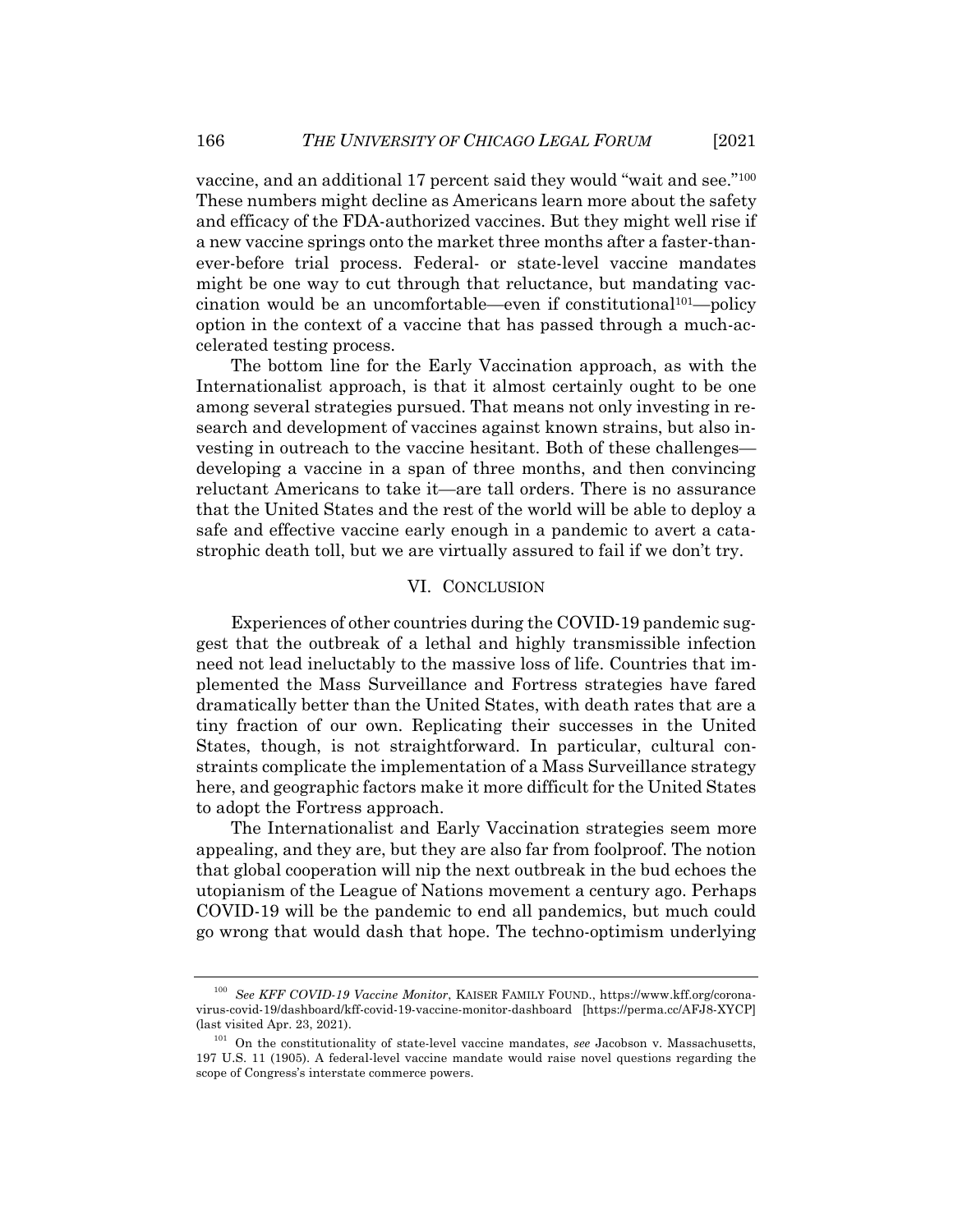vaccine, and an additional 17 percent said they would "wait and see."100 These numbers might decline as Americans learn more about the safety and efficacy of the FDA-authorized vaccines. But they might well rise if a new vaccine springs onto the market three months after a faster-thanever-before trial process. Federal- or state-level vaccine mandates might be one way to cut through that reluctance, but mandating vaccination would be an uncomfortable—even if constitutional101—policy option in the context of a vaccine that has passed through a much-accelerated testing process.

The bottom line for the Early Vaccination approach, as with the Internationalist approach, is that it almost certainly ought to be one among several strategies pursued. That means not only investing in research and development of vaccines against known strains, but also investing in outreach to the vaccine hesitant. Both of these challenges developing a vaccine in a span of three months, and then convincing reluctant Americans to take it—are tall orders. There is no assurance that the United States and the rest of the world will be able to deploy a safe and effective vaccine early enough in a pandemic to avert a catastrophic death toll, but we are virtually assured to fail if we don't try.

#### VI. CONCLUSION

Experiences of other countries during the COVID-19 pandemic suggest that the outbreak of a lethal and highly transmissible infection need not lead ineluctably to the massive loss of life. Countries that implemented the Mass Surveillance and Fortress strategies have fared dramatically better than the United States, with death rates that are a tiny fraction of our own. Replicating their successes in the United States, though, is not straightforward. In particular, cultural constraints complicate the implementation of a Mass Surveillance strategy here, and geographic factors make it more difficult for the United States to adopt the Fortress approach.

The Internationalist and Early Vaccination strategies seem more appealing, and they are, but they are also far from foolproof. The notion that global cooperation will nip the next outbreak in the bud echoes the utopianism of the League of Nations movement a century ago. Perhaps COVID-19 will be the pandemic to end all pandemics, but much could go wrong that would dash that hope. The techno-optimism underlying

<sup>100</sup> *See KFF COVID-19 Vaccine Monitor*, KAISER FAMILY FOUND., https://www.kff.org/coronavirus-covid-19/dashboard/kff-covid-19-vaccine-monitor-dashboard [https://perma.cc/AFJ8-XYCP] (last visited Apr. 23, 2021).

<sup>101</sup> On the constitutionality of state-level vaccine mandates, *see* Jacobson v. Massachusetts, 197 U.S. 11 (1905). A federal-level vaccine mandate would raise novel questions regarding the scope of Congress's interstate commerce powers.